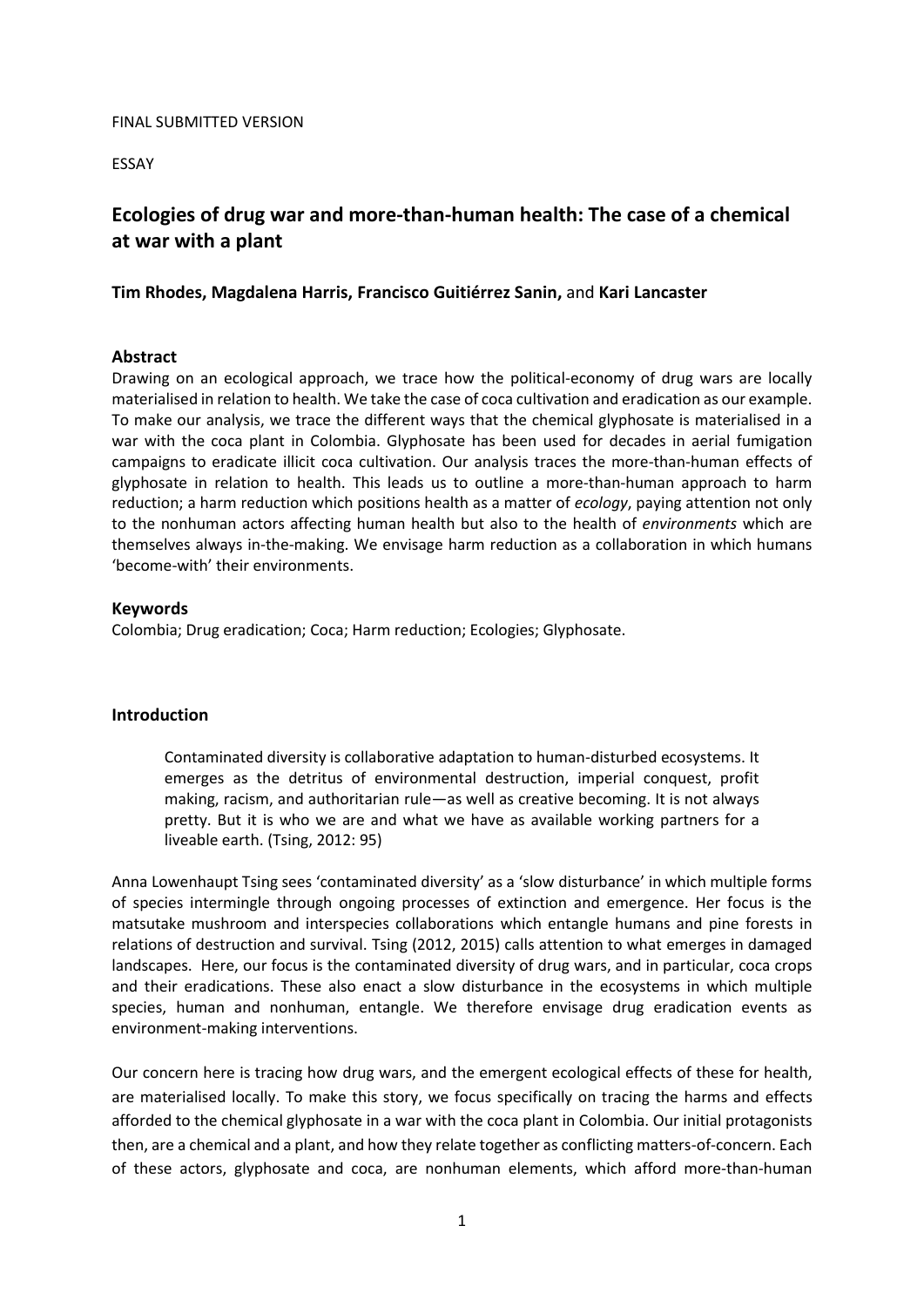#### FINAL SUBMITTED VERSION

ESSAY

# **Ecologies of drug war and more-than-human health: The case of a chemical at war with a plant**

## **Tim Rhodes, Magdalena Harris, Francisco Guitiérrez Sanin,** and **Kari Lancaster**

#### **Abstract**

Drawing on an ecological approach, we trace how the political-economy of drug wars are locally materialised in relation to health. We take the case of coca cultivation and eradication as our example. To make our analysis, we trace the different ways that the chemical glyphosate is materialised in a war with the coca plant in Colombia. Glyphosate has been used for decades in aerial fumigation campaigns to eradicate illicit coca cultivation. Our analysis traces the more-than-human effects of glyphosate in relation to health. This leads us to outline a more-than-human approach to harm reduction; a harm reduction which positions health as a matter of *ecology*, paying attention not only to the nonhuman actors affecting human health but also to the health of *environments* which are themselves always in-the-making. We envisage harm reduction as a collaboration in which humans 'become-with' their environments.

#### **Keywords**

Colombia; Drug eradication; Coca; Harm reduction; Ecologies; Glyphosate.

#### **Introduction**

Contaminated diversity is collaborative adaptation to human-disturbed ecosystems. It emerges as the detritus of environmental destruction, imperial conquest, profit making, racism, and authoritarian rule—as well as creative becoming. It is not always pretty. But it is who we are and what we have as available working partners for a liveable earth. (Tsing, 2012: 95)

Anna Lowenhaupt Tsing sees 'contaminated diversity' as a 'slow disturbance' in which multiple forms of species intermingle through ongoing processes of extinction and emergence. Her focus is the matsutake mushroom and interspecies collaborations which entangle humans and pine forests in relations of destruction and survival. Tsing (2012, 2015) calls attention to what emerges in damaged landscapes. Here, our focus is the contaminated diversity of drug wars, and in particular, coca crops and their eradications. These also enact a slow disturbance in the ecosystems in which multiple species, human and nonhuman, entangle. We therefore envisage drug eradication events as environment-making interventions.

Our concern here is tracing how drug wars, and the emergent ecological effects of these for health, are materialised locally. To make this story, we focus specifically on tracing the harms and effects afforded to the chemical glyphosate in a war with the coca plant in Colombia. Our initial protagonists then, are a chemical and a plant, and how they relate together as conflicting matters-of-concern. Each of these actors, glyphosate and coca, are nonhuman elements, which afford more-than-human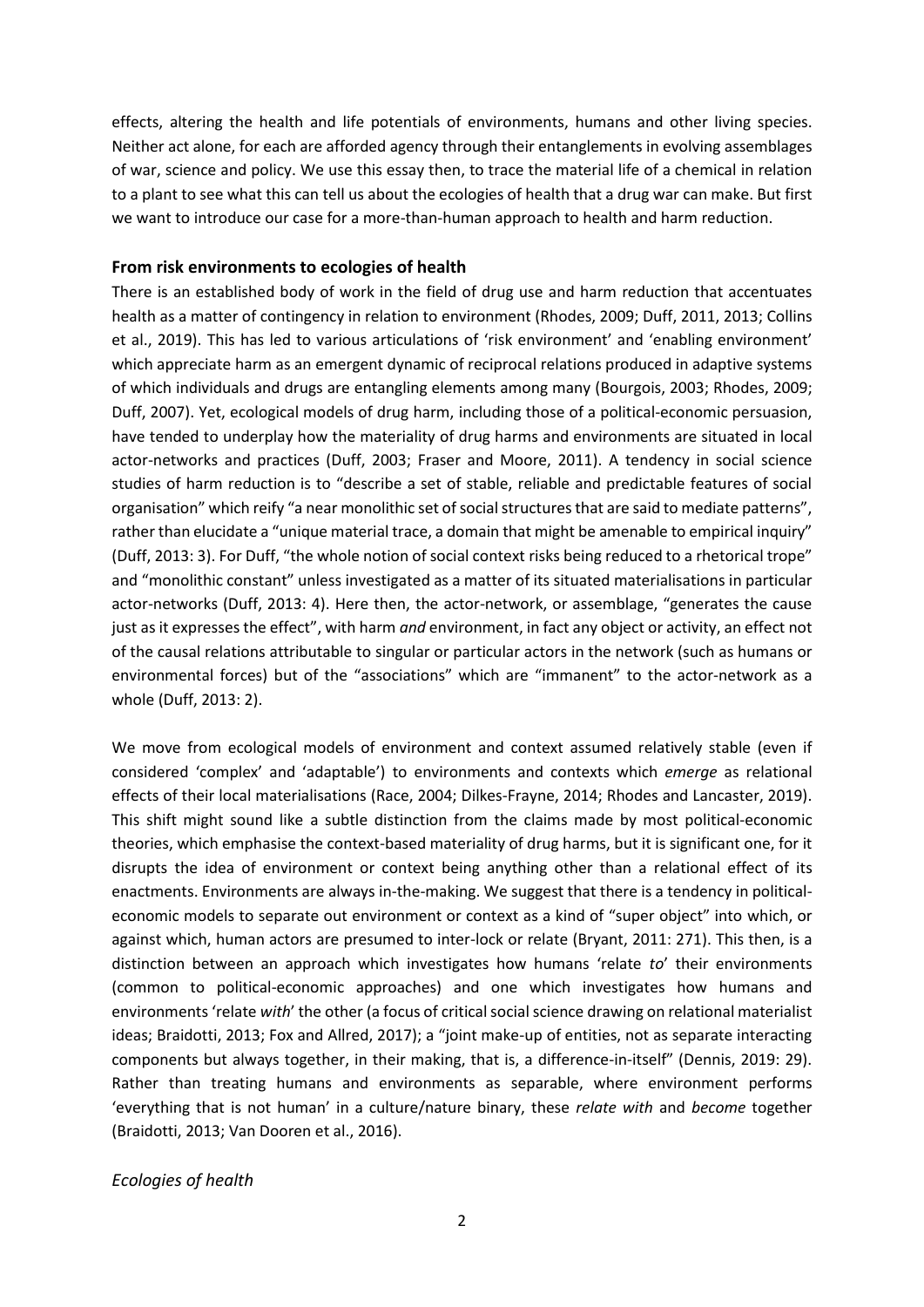effects, altering the health and life potentials of environments, humans and other living species. Neither act alone, for each are afforded agency through their entanglements in evolving assemblages of war, science and policy. We use this essay then, to trace the material life of a chemical in relation to a plant to see what this can tell us about the ecologies of health that a drug war can make. But first we want to introduce our case for a more-than-human approach to health and harm reduction.

### **From risk environments to ecologies of health**

There is an established body of work in the field of drug use and harm reduction that accentuates health as a matter of contingency in relation to environment (Rhodes, 2009; Duff, 2011, 2013; Collins et al., 2019). This has led to various articulations of 'risk environment' and 'enabling environment' which appreciate harm as an emergent dynamic of reciprocal relations produced in adaptive systems of which individuals and drugs are entangling elements among many (Bourgois, 2003; Rhodes, 2009; Duff, 2007). Yet, ecological models of drug harm, including those of a political-economic persuasion, have tended to underplay how the materiality of drug harms and environments are situated in local actor-networks and practices (Duff, 2003; Fraser and Moore, 2011). A tendency in social science studies of harm reduction is to "describe a set of stable, reliable and predictable features of social organisation" which reify "a near monolithic set of social structures that are said to mediate patterns", rather than elucidate a "unique material trace, a domain that might be amenable to empirical inquiry" (Duff, 2013: 3). For Duff, "the whole notion of social context risks being reduced to a rhetorical trope" and "monolithic constant" unless investigated as a matter of its situated materialisations in particular actor-networks (Duff, 2013: 4). Here then, the actor-network, or assemblage, "generates the cause just as it expresses the effect", with harm *and* environment, in fact any object or activity, an effect not of the causal relations attributable to singular or particular actors in the network (such as humans or environmental forces) but of the "associations" which are "immanent" to the actor-network as a whole (Duff, 2013: 2).

We move from ecological models of environment and context assumed relatively stable (even if considered 'complex' and 'adaptable') to environments and contexts which *emerge* as relational effects of their local materialisations (Race, 2004; Dilkes-Frayne, 2014; Rhodes and Lancaster, 2019). This shift might sound like a subtle distinction from the claims made by most political-economic theories, which emphasise the context-based materiality of drug harms, but it is significant one, for it disrupts the idea of environment or context being anything other than a relational effect of its enactments. Environments are always in-the-making. We suggest that there is a tendency in politicaleconomic models to separate out environment or context as a kind of "super object" into which, or against which, human actors are presumed to inter-lock or relate (Bryant, 2011: 271). This then, is a distinction between an approach which investigates how humans 'relate *to*' their environments (common to political-economic approaches) and one which investigates how humans and environments 'relate *with*' the other (a focus of critical social science drawing on relational materialist ideas; Braidotti, 2013; Fox and Allred, 2017); a "joint make-up of entities, not as separate interacting components but always together, in their making, that is, a difference-in-itself" (Dennis, 2019: 29). Rather than treating humans and environments as separable, where environment performs 'everything that is not human' in a culture/nature binary, these *relate with* and *become* together (Braidotti, 2013; Van Dooren et al., 2016).

## *Ecologies of health*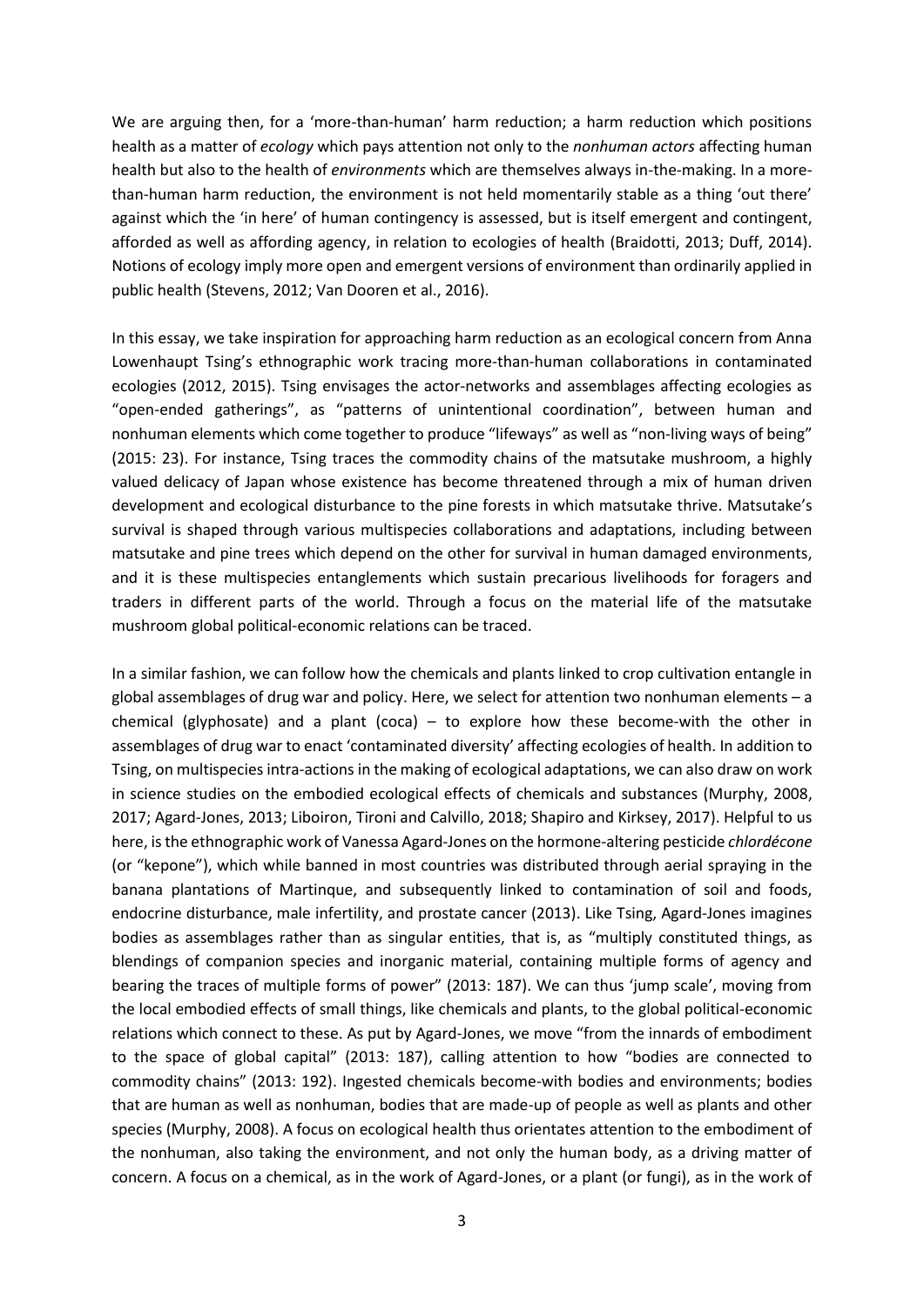We are arguing then, for a 'more-than-human' harm reduction; a harm reduction which positions health as a matter of *ecology* which pays attention not only to the *nonhuman actors* affecting human health but also to the health of *environments* which are themselves always in-the-making. In a morethan-human harm reduction, the environment is not held momentarily stable as a thing 'out there' against which the 'in here' of human contingency is assessed, but is itself emergent and contingent, afforded as well as affording agency, in relation to ecologies of health (Braidotti, 2013; Duff, 2014). Notions of ecology imply more open and emergent versions of environment than ordinarily applied in public health (Stevens, 2012; Van Dooren et al., 2016).

In this essay, we take inspiration for approaching harm reduction as an ecological concern from Anna Lowenhaupt Tsing's ethnographic work tracing more-than-human collaborations in contaminated ecologies (2012, 2015). Tsing envisages the actor-networks and assemblages affecting ecologies as "open-ended gatherings", as "patterns of unintentional coordination", between human and nonhuman elements which come together to produce "lifeways" as well as "non-living ways of being" (2015: 23). For instance, Tsing traces the commodity chains of the matsutake mushroom, a highly valued delicacy of Japan whose existence has become threatened through a mix of human driven development and ecological disturbance to the pine forests in which matsutake thrive. Matsutake's survival is shaped through various multispecies collaborations and adaptations, including between matsutake and pine trees which depend on the other for survival in human damaged environments, and it is these multispecies entanglements which sustain precarious livelihoods for foragers and traders in different parts of the world. Through a focus on the material life of the matsutake mushroom global political-economic relations can be traced.

In a similar fashion, we can follow how the chemicals and plants linked to crop cultivation entangle in global assemblages of drug war and policy. Here, we select for attention two nonhuman elements – a chemical (glyphosate) and a plant (coca) – to explore how these become-with the other in assemblages of drug war to enact 'contaminated diversity' affecting ecologies of health. In addition to Tsing, on multispecies intra-actions in the making of ecological adaptations, we can also draw on work in science studies on the embodied ecological effects of chemicals and substances (Murphy, 2008, 2017; Agard-Jones, 2013; Liboiron, Tironi and Calvillo, 2018; Shapiro and Kirksey, 2017). Helpful to us here, is the ethnographic work of Vanessa Agard-Jones on the hormone-altering pesticide *chlordécone* (or "kepone"), which while banned in most countries was distributed through aerial spraying in the banana plantations of Martinque, and subsequently linked to contamination of soil and foods, endocrine disturbance, male infertility, and prostate cancer (2013). Like Tsing, Agard-Jones imagines bodies as assemblages rather than as singular entities, that is, as "multiply constituted things, as blendings of companion species and inorganic material, containing multiple forms of agency and bearing the traces of multiple forms of power" (2013: 187). We can thus 'jump scale', moving from the local embodied effects of small things, like chemicals and plants, to the global political-economic relations which connect to these. As put by Agard-Jones, we move "from the innards of embodiment to the space of global capital" (2013: 187), calling attention to how "bodies are connected to commodity chains" (2013: 192). Ingested chemicals become-with bodies and environments; bodies that are human as well as nonhuman, bodies that are made-up of people as well as plants and other species (Murphy, 2008). A focus on ecological health thus orientates attention to the embodiment of the nonhuman, also taking the environment, and not only the human body, as a driving matter of concern. A focus on a chemical, as in the work of Agard-Jones, or a plant (or fungi), as in the work of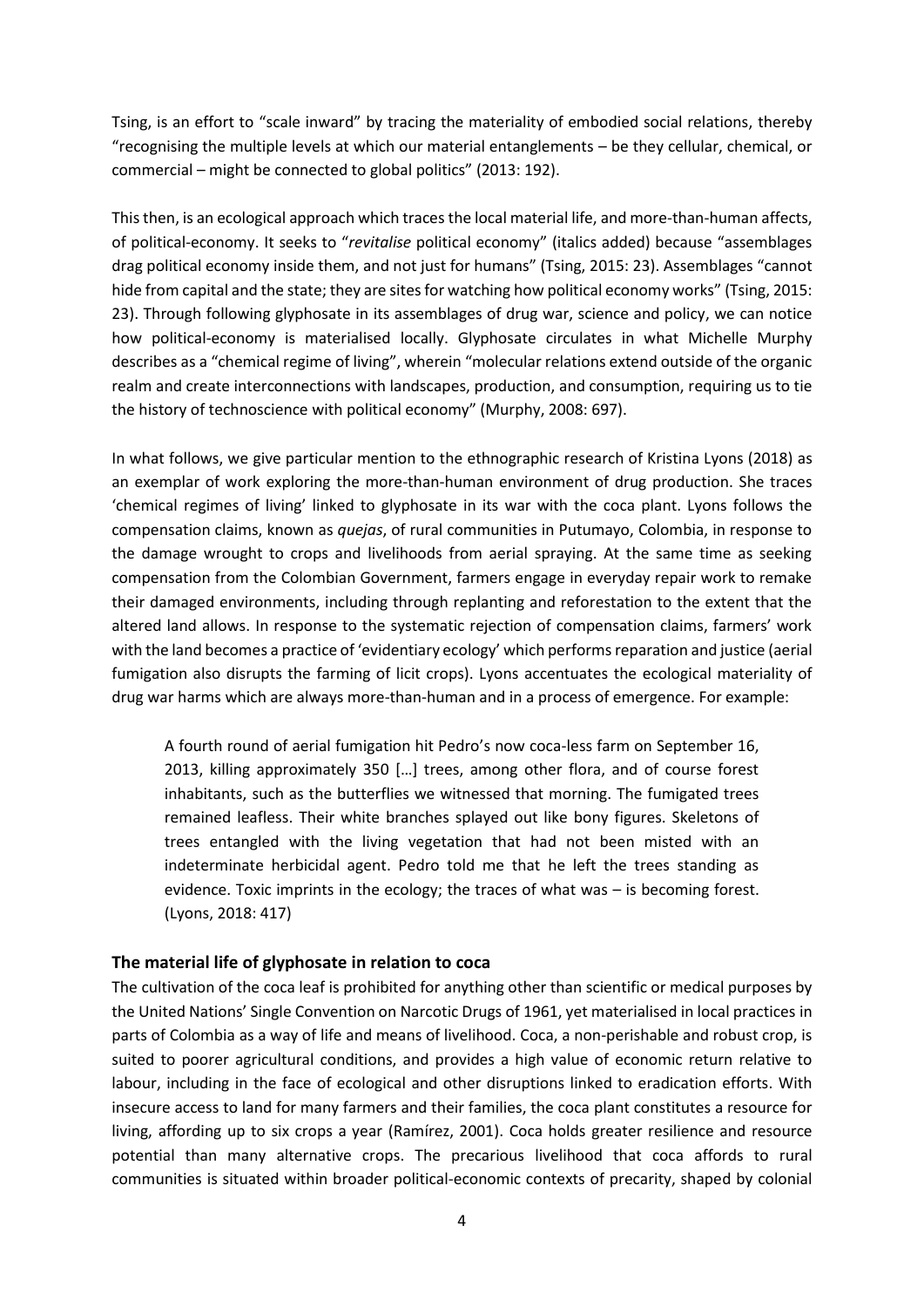Tsing, is an effort to "scale inward" by tracing the materiality of embodied social relations, thereby "recognising the multiple levels at which our material entanglements – be they cellular, chemical, or commercial – might be connected to global politics" (2013: 192).

This then, is an ecological approach which traces the local material life, and more-than-human affects, of political-economy. It seeks to "*revitalise* political economy" (italics added) because "assemblages drag political economy inside them, and not just for humans" (Tsing, 2015: 23). Assemblages "cannot hide from capital and the state; they are sites for watching how political economy works" (Tsing, 2015: 23). Through following glyphosate in its assemblages of drug war, science and policy, we can notice how political-economy is materialised locally. Glyphosate circulates in what Michelle Murphy describes as a "chemical regime of living", wherein "molecular relations extend outside of the organic realm and create interconnections with landscapes, production, and consumption, requiring us to tie the history of technoscience with political economy" (Murphy, 2008: 697).

In what follows, we give particular mention to the ethnographic research of Kristina Lyons (2018) as an exemplar of work exploring the more-than-human environment of drug production. She traces 'chemical regimes of living' linked to glyphosate in its war with the coca plant. Lyons follows the compensation claims, known as *quejas*, of rural communities in Putumayo, Colombia, in response to the damage wrought to crops and livelihoods from aerial spraying. At the same time as seeking compensation from the Colombian Government, farmers engage in everyday repair work to remake their damaged environments, including through replanting and reforestation to the extent that the altered land allows. In response to the systematic rejection of compensation claims, farmers' work with the land becomes a practice of 'evidentiary ecology' which performs reparation and justice (aerial fumigation also disrupts the farming of licit crops). Lyons accentuates the ecological materiality of drug war harms which are always more-than-human and in a process of emergence. For example:

A fourth round of aerial fumigation hit Pedro's now coca-less farm on September 16, 2013, killing approximately 350 […] trees, among other flora, and of course forest inhabitants, such as the butterflies we witnessed that morning. The fumigated trees remained leafless. Their white branches splayed out like bony figures. Skeletons of trees entangled with the living vegetation that had not been misted with an indeterminate herbicidal agent. Pedro told me that he left the trees standing as evidence. Toxic imprints in the ecology; the traces of what was – is becoming forest. (Lyons, 2018: 417)

#### **The material life of glyphosate in relation to coca**

The cultivation of the coca leaf is prohibited for anything other than scientific or medical purposes by the United Nations' Single Convention on Narcotic Drugs of 1961, yet materialised in local practices in parts of Colombia as a way of life and means of livelihood. Coca, a non-perishable and robust crop, is suited to poorer agricultural conditions, and provides a high value of economic return relative to labour, including in the face of ecological and other disruptions linked to eradication efforts. With insecure access to land for many farmers and their families, the coca plant constitutes a resource for living, affording up to six crops a year (Ramírez, 2001). Coca holds greater resilience and resource potential than many alternative crops. The precarious livelihood that coca affords to rural communities is situated within broader political-economic contexts of precarity, shaped by colonial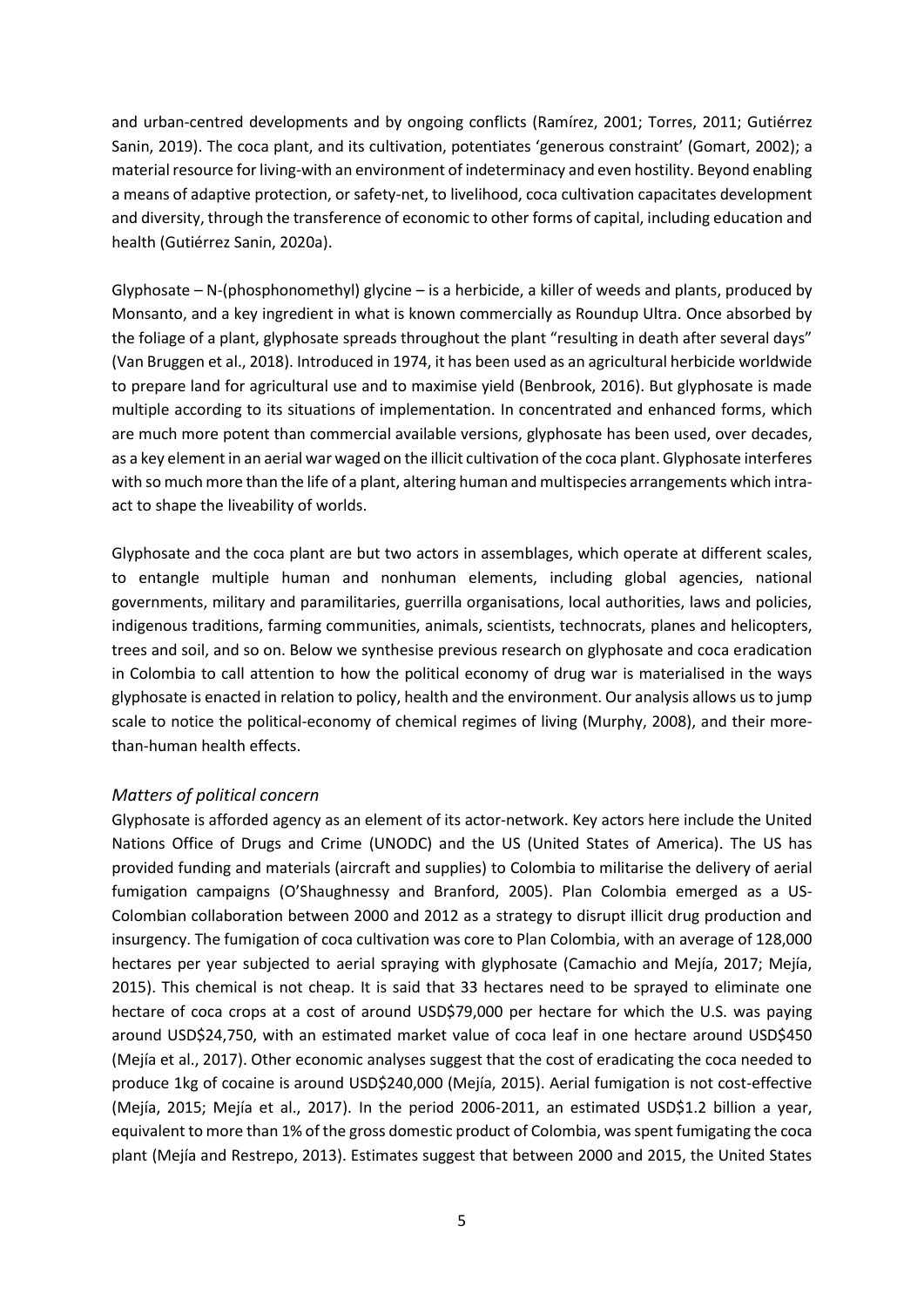and urban-centred developments and by ongoing conflicts (Ramírez, 2001; Torres, 2011; Gutiérrez Sanin, 2019). The coca plant, and its cultivation, potentiates 'generous constraint' (Gomart, 2002); a material resource for living-with an environment of indeterminacy and even hostility. Beyond enabling a means of adaptive protection, or safety-net, to livelihood, coca cultivation capacitates development and diversity, through the transference of economic to other forms of capital, including education and health (Gutiérrez Sanin, 2020a).

Glyphosate – N-(phosphonomethyl) glycine – is a herbicide, a killer of weeds and plants, produced by Monsanto, and a key ingredient in what is known commercially as Roundup Ultra. Once absorbed by the foliage of a plant, glyphosate spreads throughout the plant "resulting in death after several days" (Van Bruggen et al., 2018). Introduced in 1974, it has been used as an agricultural herbicide worldwide to prepare land for agricultural use and to maximise yield (Benbrook, 2016). But glyphosate is made multiple according to its situations of implementation. In concentrated and enhanced forms, which are much more potent than commercial available versions, glyphosate has been used, over decades, as a key element in an aerial war waged on the illicit cultivation of the coca plant. Glyphosate interferes with so much more than the life of a plant, altering human and multispecies arrangements which intraact to shape the liveability of worlds.

Glyphosate and the coca plant are but two actors in assemblages, which operate at different scales, to entangle multiple human and nonhuman elements, including global agencies, national governments, military and paramilitaries, guerrilla organisations, local authorities, laws and policies, indigenous traditions, farming communities, animals, scientists, technocrats, planes and helicopters, trees and soil, and so on. Below we synthesise previous research on glyphosate and coca eradication in Colombia to call attention to how the political economy of drug war is materialised in the ways glyphosate is enacted in relation to policy, health and the environment. Our analysis allows us to jump scale to notice the political-economy of chemical regimes of living (Murphy, 2008), and their morethan-human health effects.

## *Matters of political concern*

Glyphosate is afforded agency as an element of its actor-network. Key actors here include the United Nations Office of Drugs and Crime (UNODC) and the US (United States of America). The US has provided funding and materials (aircraft and supplies) to Colombia to militarise the delivery of aerial fumigation campaigns (O'Shaughnessy and Branford, 2005). Plan Colombia emerged as a US-Colombian collaboration between 2000 and 2012 as a strategy to disrupt illicit drug production and insurgency. The fumigation of coca cultivation was core to Plan Colombia, with an average of 128,000 hectares per year subjected to aerial spraying with glyphosate (Camachio and Mejía, 2017; Mejía, 2015). This chemical is not cheap. It is said that 33 hectares need to be sprayed to eliminate one hectare of coca crops at a cost of around USD\$79,000 per hectare for which the U.S. was paying around USD\$24,750, with an estimated market value of coca leaf in one hectare around USD\$450 (Mejía et al., 2017). Other economic analyses suggest that the cost of eradicating the coca needed to produce 1kg of cocaine is around USD\$240,000 (Mejía, 2015). Aerial fumigation is not cost-effective (Mejía, 2015; Mejía et al., 2017). In the period 2006-2011, an estimated USD\$1.2 billion a year, equivalent to more than 1% of the gross domestic product of Colombia, was spent fumigating the coca plant (Mejía and Restrepo, 2013). Estimates suggest that between 2000 and 2015, the United States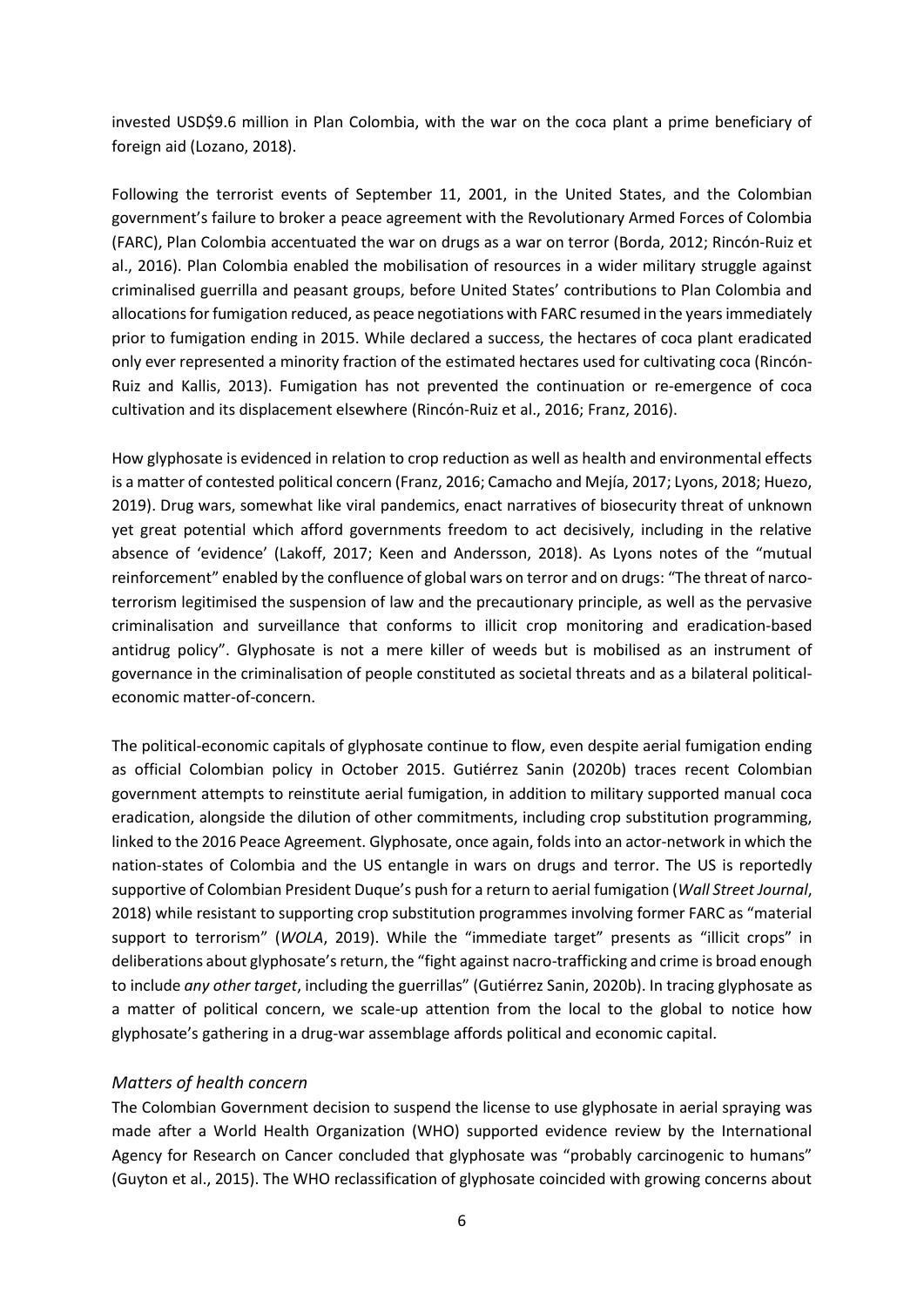invested USD\$9.6 million in Plan Colombia, with the war on the coca plant a prime beneficiary of foreign aid (Lozano, 2018).

Following the terrorist events of September 11, 2001, in the United States, and the Colombian government's failure to broker a peace agreement with the Revolutionary Armed Forces of Colombia (FARC), Plan Colombia accentuated the war on drugs as a war on terror (Borda, 2012; Rincón-Ruiz et al., 2016). Plan Colombia enabled the mobilisation of resources in a wider military struggle against criminalised guerrilla and peasant groups, before United States' contributions to Plan Colombia and allocations for fumigation reduced, as peace negotiations with FARC resumed in the years immediately prior to fumigation ending in 2015. While declared a success, the hectares of coca plant eradicated only ever represented a minority fraction of the estimated hectares used for cultivating coca (Rincón-Ruiz and Kallis, 2013). Fumigation has not prevented the continuation or re-emergence of coca cultivation and its displacement elsewhere (Rincón-Ruiz et al., 2016; Franz, 2016).

How glyphosate is evidenced in relation to crop reduction as well as health and environmental effects is a matter of contested political concern (Franz, 2016; Camacho and Mejía, 2017; Lyons, 2018; Huezo, 2019). Drug wars, somewhat like viral pandemics, enact narratives of biosecurity threat of unknown yet great potential which afford governments freedom to act decisively, including in the relative absence of 'evidence' (Lakoff, 2017; Keen and Andersson, 2018). As Lyons notes of the "mutual reinforcement" enabled by the confluence of global wars on terror and on drugs: "The threat of narcoterrorism legitimised the suspension of law and the precautionary principle, as well as the pervasive criminalisation and surveillance that conforms to illicit crop monitoring and eradication-based antidrug policy". Glyphosate is not a mere killer of weeds but is mobilised as an instrument of governance in the criminalisation of people constituted as societal threats and as a bilateral politicaleconomic matter-of-concern.

The political-economic capitals of glyphosate continue to flow, even despite aerial fumigation ending as official Colombian policy in October 2015. Gutiérrez Sanin (2020b) traces recent Colombian government attempts to reinstitute aerial fumigation, in addition to military supported manual coca eradication, alongside the dilution of other commitments, including crop substitution programming, linked to the 2016 Peace Agreement. Glyphosate, once again, folds into an actor-network in which the nation-states of Colombia and the US entangle in wars on drugs and terror. The US is reportedly supportive of Colombian President Duque's push for a return to aerial fumigation (*Wall Street Journal*, 2018) while resistant to supporting crop substitution programmes involving former FARC as "material support to terrorism" (*WOLA*, 2019). While the "immediate target" presents as "illicit crops" in deliberations about glyphosate's return, the "fight against nacro-trafficking and crime is broad enough to include *any other target*, including the guerrillas" (Gutiérrez Sanin, 2020b). In tracing glyphosate as a matter of political concern, we scale-up attention from the local to the global to notice how glyphosate's gathering in a drug-war assemblage affords political and economic capital.

## *Matters of health concern*

The Colombian Government decision to suspend the license to use glyphosate in aerial spraying was made after a World Health Organization (WHO) supported evidence review by the International Agency for Research on Cancer concluded that glyphosate was "probably carcinogenic to humans" (Guyton et al., 2015). The WHO reclassification of glyphosate coincided with growing concerns about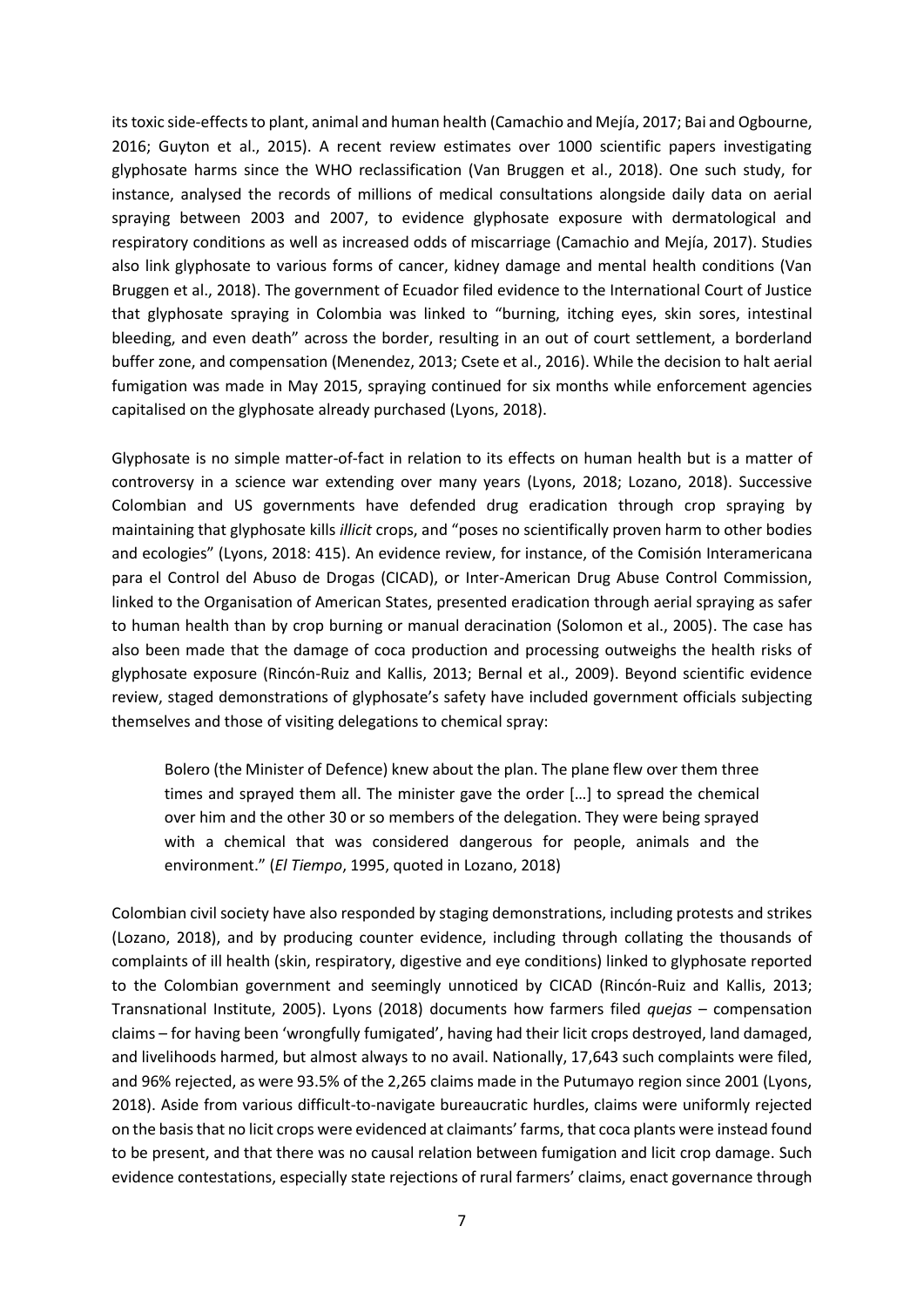its toxic side-effects to plant, animal and human health (Camachio and Mejía, 2017; Bai and Ogbourne, 2016; Guyton et al., 2015). A recent review estimates over 1000 scientific papers investigating glyphosate harms since the WHO reclassification (Van Bruggen et al., 2018). One such study, for instance, analysed the records of millions of medical consultations alongside daily data on aerial spraying between 2003 and 2007, to evidence glyphosate exposure with dermatological and respiratory conditions as well as increased odds of miscarriage (Camachio and Mejía, 2017). Studies also link glyphosate to various forms of cancer, kidney damage and mental health conditions (Van Bruggen et al., 2018). The government of Ecuador filed evidence to the International Court of Justice that glyphosate spraying in Colombia was linked to "burning, itching eyes, skin sores, intestinal bleeding, and even death" across the border, resulting in an out of court settlement, a borderland buffer zone, and compensation (Menendez, 2013; Csete et al., 2016). While the decision to halt aerial fumigation was made in May 2015, spraying continued for six months while enforcement agencies capitalised on the glyphosate already purchased (Lyons, 2018).

Glyphosate is no simple matter-of-fact in relation to its effects on human health but is a matter of controversy in a science war extending over many years (Lyons, 2018; Lozano, 2018). Successive Colombian and US governments have defended drug eradication through crop spraying by maintaining that glyphosate kills *illicit* crops, and "poses no scientifically proven harm to other bodies and ecologies" (Lyons, 2018: 415). An evidence review, for instance, of the Comisión Interamericana para el Control del Abuso de Drogas (CICAD), or Inter-American Drug Abuse Control Commission, linked to the Organisation of American States, presented eradication through aerial spraying as safer to human health than by crop burning or manual deracination (Solomon et al., 2005). The case has also been made that the damage of coca production and processing outweighs the health risks of glyphosate exposure (Rincón-Ruiz and Kallis, 2013; Bernal et al., 2009). Beyond scientific evidence review, staged demonstrations of glyphosate's safety have included government officials subjecting themselves and those of visiting delegations to chemical spray:

Bolero (the Minister of Defence) knew about the plan. The plane flew over them three times and sprayed them all. The minister gave the order […] to spread the chemical over him and the other 30 or so members of the delegation. They were being sprayed with a chemical that was considered dangerous for people, animals and the environment." (*El Tiempo*, 1995, quoted in Lozano, 2018)

Colombian civil society have also responded by staging demonstrations, including protests and strikes (Lozano, 2018), and by producing counter evidence, including through collating the thousands of complaints of ill health (skin, respiratory, digestive and eye conditions) linked to glyphosate reported to the Colombian government and seemingly unnoticed by CICAD (Rincón-Ruiz and Kallis, 2013; Transnational Institute, 2005). Lyons (2018) documents how farmers filed *quejas* – compensation claims – for having been 'wrongfully fumigated', having had their licit crops destroyed, land damaged, and livelihoods harmed, but almost always to no avail. Nationally, 17,643 such complaints were filed, and 96% rejected, as were 93.5% of the 2,265 claims made in the Putumayo region since 2001 (Lyons, 2018). Aside from various difficult-to-navigate bureaucratic hurdles, claims were uniformly rejected on the basisthat no licit crops were evidenced at claimants' farms, that coca plants were instead found to be present, and that there was no causal relation between fumigation and licit crop damage. Such evidence contestations, especially state rejections of rural farmers' claims, enact governance through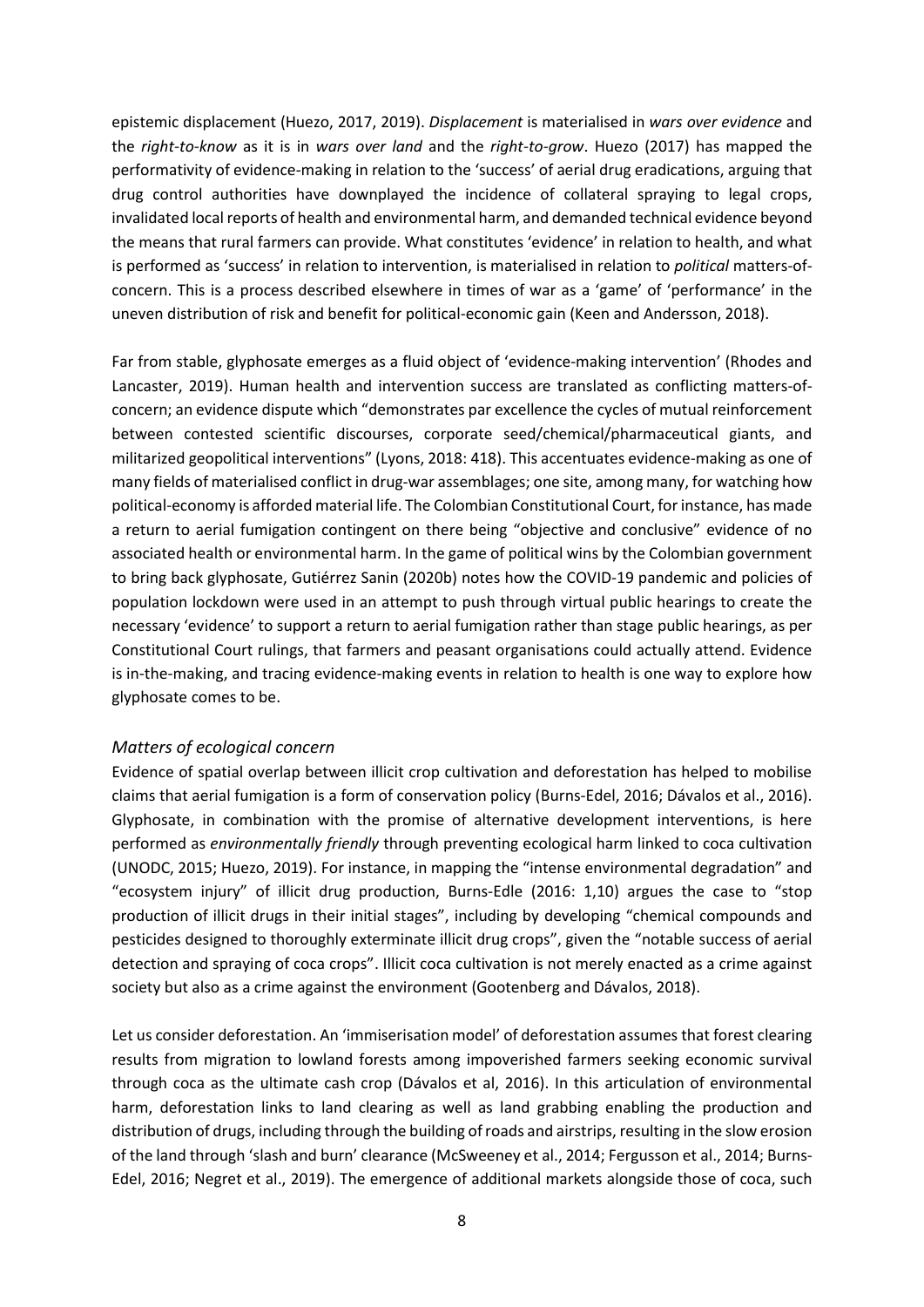epistemic displacement (Huezo, 2017, 2019). *Displacement* is materialised in *wars over evidence* and the *right-to-know* as it is in *wars over land* and the *right-to-grow*. Huezo (2017) has mapped the performativity of evidence-making in relation to the 'success' of aerial drug eradications, arguing that drug control authorities have downplayed the incidence of collateral spraying to legal crops, invalidated local reports of health and environmental harm, and demanded technical evidence beyond the means that rural farmers can provide. What constitutes 'evidence' in relation to health, and what is performed as 'success' in relation to intervention, is materialised in relation to *political* matters-ofconcern. This is a process described elsewhere in times of war as a 'game' of 'performance' in the uneven distribution of risk and benefit for political-economic gain (Keen and Andersson, 2018).

Far from stable, glyphosate emerges as a fluid object of 'evidence-making intervention' (Rhodes and Lancaster, 2019). Human health and intervention success are translated as conflicting matters-ofconcern; an evidence dispute which "demonstrates par excellence the cycles of mutual reinforcement between contested scientific discourses, corporate seed/chemical/pharmaceutical giants, and militarized geopolitical interventions" (Lyons, 2018: 418). This accentuates evidence-making as one of many fields of materialised conflict in drug-war assemblages; one site, among many, for watching how political-economy is afforded material life. The Colombian Constitutional Court, for instance, has made a return to aerial fumigation contingent on there being "objective and conclusive" evidence of no associated health or environmental harm. In the game of political wins by the Colombian government to bring back glyphosate, Gutiérrez Sanin (2020b) notes how the COVID-19 pandemic and policies of population lockdown were used in an attempt to push through virtual public hearings to create the necessary 'evidence' to support a return to aerial fumigation rather than stage public hearings, as per Constitutional Court rulings, that farmers and peasant organisations could actually attend. Evidence is in-the-making, and tracing evidence-making events in relation to health is one way to explore how glyphosate comes to be.

#### *Matters of ecological concern*

Evidence of spatial overlap between illicit crop cultivation and deforestation has helped to mobilise claims that aerial fumigation is a form of conservation policy (Burns-Edel, 2016; Dávalos et al., 2016). Glyphosate, in combination with the promise of alternative development interventions, is here performed as *environmentally friendly* through preventing ecological harm linked to coca cultivation (UNODC, 2015; Huezo, 2019). For instance, in mapping the "intense environmental degradation" and "ecosystem injury" of illicit drug production, Burns-Edle (2016: 1,10) argues the case to "stop production of illicit drugs in their initial stages", including by developing "chemical compounds and pesticides designed to thoroughly exterminate illicit drug crops", given the "notable success of aerial detection and spraying of coca crops". Illicit coca cultivation is not merely enacted as a crime against society but also as a crime against the environment (Gootenberg and Dávalos, 2018).

Let us consider deforestation. An 'immiserisation model' of deforestation assumes that forest clearing results from migration to lowland forests among impoverished farmers seeking economic survival through coca as the ultimate cash crop (Dávalos et al, 2016). In this articulation of environmental harm, deforestation links to land clearing as well as land grabbing enabling the production and distribution of drugs, including through the building of roads and airstrips, resulting in the slow erosion of the land through 'slash and burn' clearance (McSweeney et al., 2014; Fergusson et al., 2014; Burns-Edel, 2016; Negret et al., 2019). The emergence of additional markets alongside those of coca, such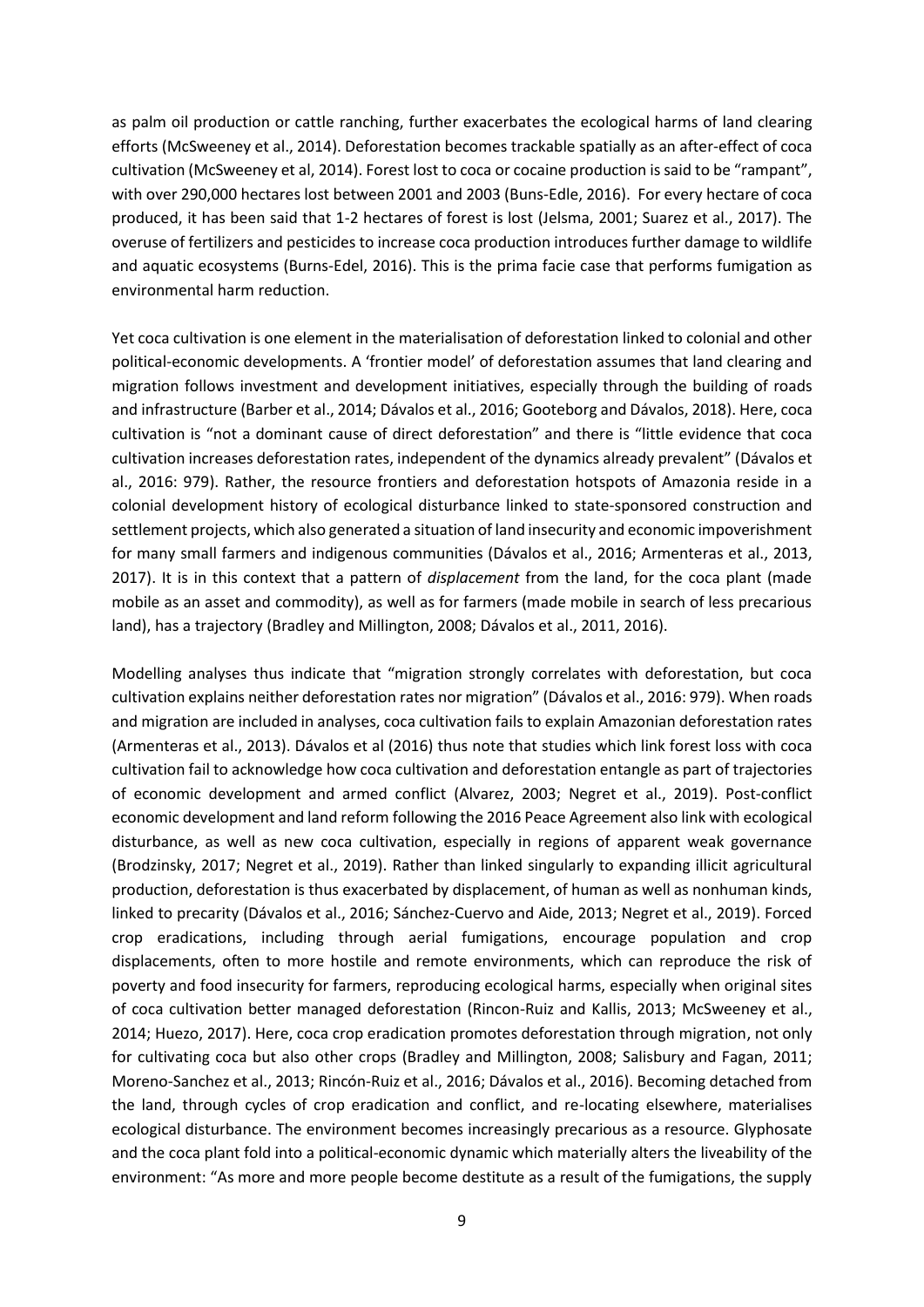as palm oil production or cattle ranching, further exacerbates the ecological harms of land clearing efforts (McSweeney et al., 2014). Deforestation becomes trackable spatially as an after-effect of coca cultivation (McSweeney et al, 2014). Forest lost to coca or cocaine production is said to be "rampant", with over 290,000 hectares lost between 2001 and 2003 (Buns-Edle, 2016). For every hectare of coca produced, it has been said that 1-2 hectares of forest is lost (Jelsma, 2001; Suarez et al., 2017). The overuse of fertilizers and pesticides to increase coca production introduces further damage to wildlife and aquatic ecosystems (Burns-Edel, 2016). This is the prima facie case that performs fumigation as environmental harm reduction.

Yet coca cultivation is one element in the materialisation of deforestation linked to colonial and other political-economic developments. A 'frontier model' of deforestation assumes that land clearing and migration follows investment and development initiatives, especially through the building of roads and infrastructure (Barber et al., 2014; Dávalos et al., 2016; Gooteborg and Dávalos, 2018). Here, coca cultivation is "not a dominant cause of direct deforestation" and there is "little evidence that coca cultivation increases deforestation rates, independent of the dynamics already prevalent" (Dávalos et al., 2016: 979). Rather, the resource frontiers and deforestation hotspots of Amazonia reside in a colonial development history of ecological disturbance linked to state-sponsored construction and settlement projects, which also generated a situation of land insecurity and economic impoverishment for many small farmers and indigenous communities (Dávalos et al., 2016; Armenteras et al., 2013, 2017). It is in this context that a pattern of *displacement* from the land, for the coca plant (made mobile as an asset and commodity), as well as for farmers (made mobile in search of less precarious land), has a trajectory (Bradley and Millington, 2008; Dávalos et al., 2011, 2016).

Modelling analyses thus indicate that "migration strongly correlates with deforestation, but coca cultivation explains neither deforestation rates nor migration" (Dávalos et al., 2016: 979). When roads and migration are included in analyses, coca cultivation fails to explain Amazonian deforestation rates (Armenteras et al., 2013). Dávalos et al (2016) thus note that studies which link forest loss with coca cultivation fail to acknowledge how coca cultivation and deforestation entangle as part of trajectories of economic development and armed conflict (Alvarez, 2003; Negret et al., 2019). Post-conflict economic development and land reform following the 2016 Peace Agreement also link with ecological disturbance, as well as new coca cultivation, especially in regions of apparent weak governance (Brodzinsky, 2017; Negret et al., 2019). Rather than linked singularly to expanding illicit agricultural production, deforestation is thus exacerbated by displacement, of human as well as nonhuman kinds, linked to precarity (Dávalos et al., 2016; Sánchez-Cuervo and Aide, 2013; Negret et al., 2019). Forced crop eradications, including through aerial fumigations, encourage population and crop displacements, often to more hostile and remote environments, which can reproduce the risk of poverty and food insecurity for farmers, reproducing ecological harms, especially when original sites of coca cultivation better managed deforestation (Rincon-Ruiz and Kallis, 2013; McSweeney et al., 2014; Huezo, 2017). Here, coca crop eradication promotes deforestation through migration, not only for cultivating coca but also other crops (Bradley and Millington, 2008; Salisbury and Fagan, 2011; Moreno-Sanchez et al., 2013; Rincón-Ruiz et al., 2016; Dávalos et al., 2016). Becoming detached from the land, through cycles of crop eradication and conflict, and re-locating elsewhere, materialises ecological disturbance. The environment becomes increasingly precarious as a resource. Glyphosate and the coca plant fold into a political-economic dynamic which materially alters the liveability of the environment: "As more and more people become destitute as a result of the fumigations, the supply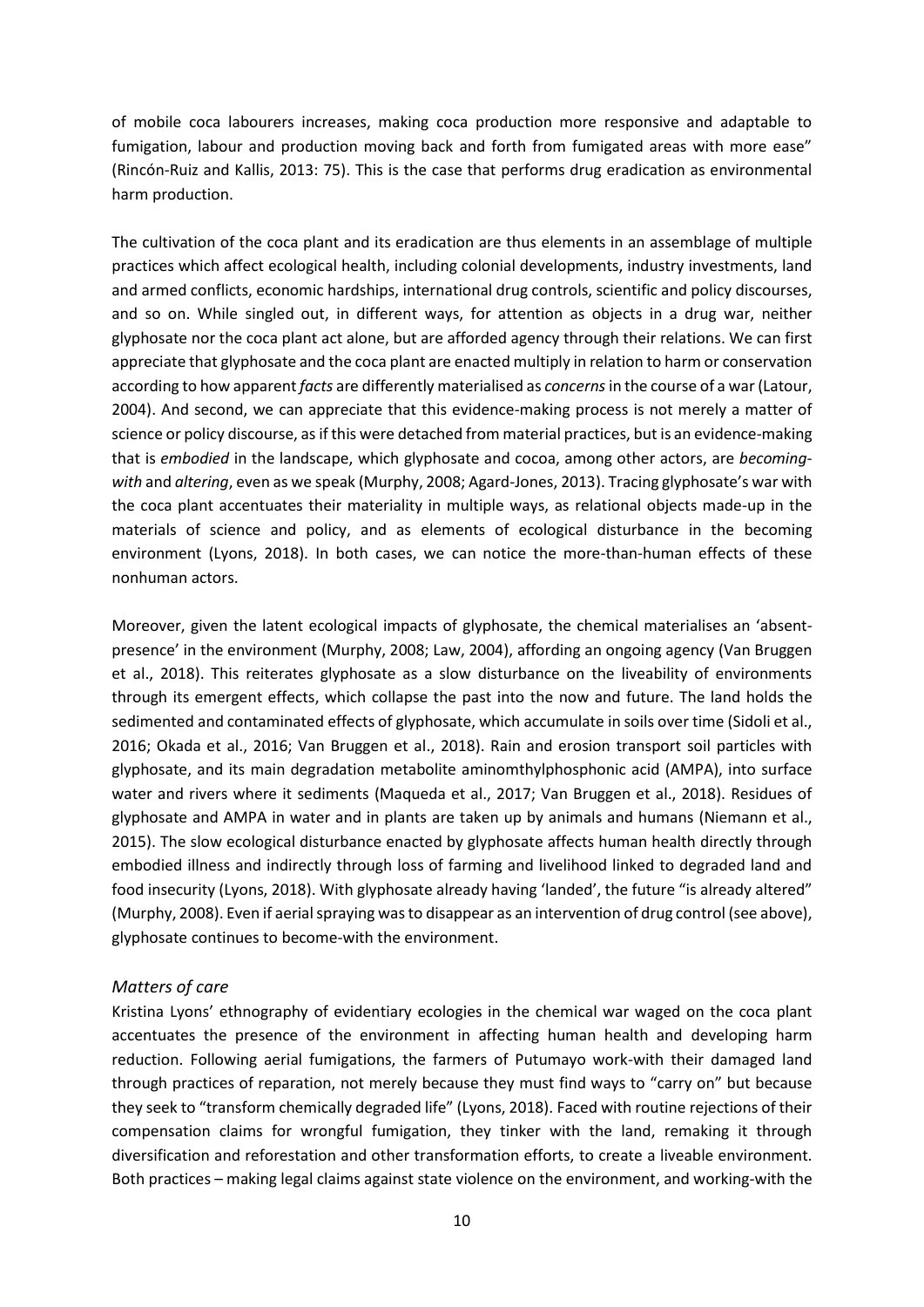of mobile coca labourers increases, making coca production more responsive and adaptable to fumigation, labour and production moving back and forth from fumigated areas with more ease" (Rincón-Ruiz and Kallis, 2013: 75). This is the case that performs drug eradication as environmental harm production.

The cultivation of the coca plant and its eradication are thus elements in an assemblage of multiple practices which affect ecological health, including colonial developments, industry investments, land and armed conflicts, economic hardships, international drug controls, scientific and policy discourses, and so on. While singled out, in different ways, for attention as objects in a drug war, neither glyphosate nor the coca plant act alone, but are afforded agency through their relations. We can first appreciate that glyphosate and the coca plant are enacted multiply in relation to harm or conservation according to how apparent *facts* are differently materialised as *concerns*in the course of a war(Latour, 2004). And second, we can appreciate that this evidence-making process is not merely a matter of science or policy discourse, as if this were detached from material practices, but is an evidence-making that is *embodied* in the landscape, which glyphosate and cocoa, among other actors, are *becomingwith* and *altering*, even as we speak (Murphy, 2008; Agard-Jones, 2013). Tracing glyphosate's war with the coca plant accentuates their materiality in multiple ways, as relational objects made-up in the materials of science and policy, and as elements of ecological disturbance in the becoming environment (Lyons, 2018). In both cases, we can notice the more-than-human effects of these nonhuman actors.

Moreover, given the latent ecological impacts of glyphosate, the chemical materialises an 'absentpresence' in the environment (Murphy, 2008; Law, 2004), affording an ongoing agency (Van Bruggen et al., 2018). This reiterates glyphosate as a slow disturbance on the liveability of environments through its emergent effects, which collapse the past into the now and future. The land holds the sedimented and contaminated effects of glyphosate, which accumulate in soils over time (Sidoli et al., 2016; Okada et al., 2016; Van Bruggen et al., 2018). Rain and erosion transport soil particles with glyphosate, and its main degradation metabolite aminomthylphosphonic acid (AMPA), into surface water and rivers where it sediments (Maqueda et al., 2017; Van Bruggen et al., 2018). Residues of glyphosate and AMPA in water and in plants are taken up by animals and humans (Niemann et al., 2015). The slow ecological disturbance enacted by glyphosate affects human health directly through embodied illness and indirectly through loss of farming and livelihood linked to degraded land and food insecurity (Lyons, 2018). With glyphosate already having 'landed', the future "is already altered" (Murphy, 2008). Even if aerial spraying was to disappear as an intervention of drug control (see above), glyphosate continues to become-with the environment.

#### *Matters of care*

Kristina Lyons' ethnography of evidentiary ecologies in the chemical war waged on the coca plant accentuates the presence of the environment in affecting human health and developing harm reduction. Following aerial fumigations, the farmers of Putumayo work-with their damaged land through practices of reparation, not merely because they must find ways to "carry on" but because they seek to "transform chemically degraded life" (Lyons, 2018). Faced with routine rejections of their compensation claims for wrongful fumigation, they tinker with the land, remaking it through diversification and reforestation and other transformation efforts, to create a liveable environment. Both practices – making legal claims against state violence on the environment, and working-with the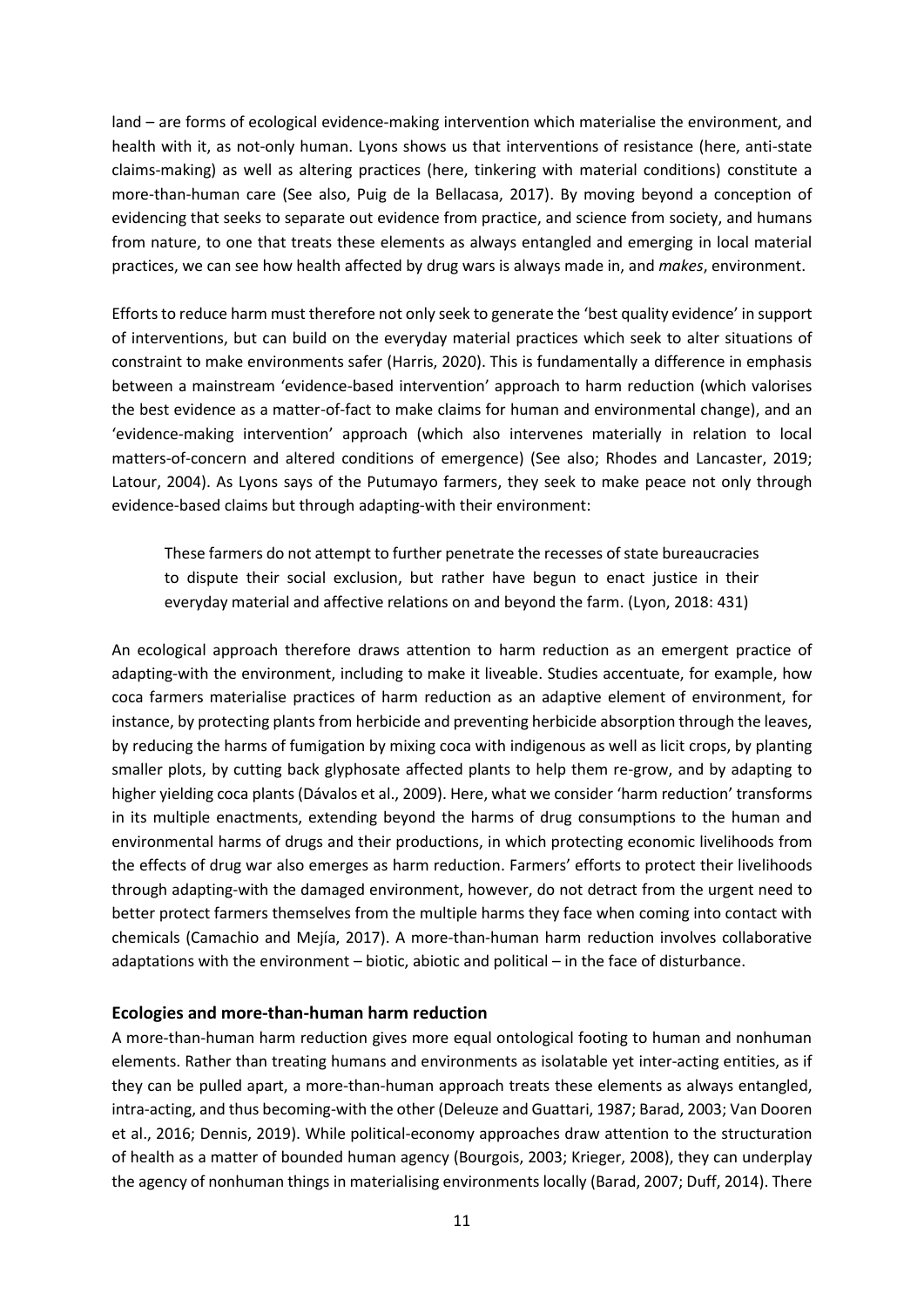land – are forms of ecological evidence-making intervention which materialise the environment, and health with it, as not-only human. Lyons shows us that interventions of resistance (here, anti-state claims-making) as well as altering practices (here, tinkering with material conditions) constitute a more-than-human care (See also, Puig de la Bellacasa, 2017). By moving beyond a conception of evidencing that seeks to separate out evidence from practice, and science from society, and humans from nature, to one that treats these elements as always entangled and emerging in local material practices, we can see how health affected by drug wars is always made in, and *makes*, environment.

Efforts to reduce harm must therefore not only seek to generate the 'best quality evidence' in support of interventions, but can build on the everyday material practices which seek to alter situations of constraint to make environments safer (Harris, 2020). This is fundamentally a difference in emphasis between a mainstream 'evidence-based intervention' approach to harm reduction (which valorises the best evidence as a matter-of-fact to make claims for human and environmental change), and an 'evidence-making intervention' approach (which also intervenes materially in relation to local matters-of-concern and altered conditions of emergence) (See also; Rhodes and Lancaster, 2019; Latour, 2004). As Lyons says of the Putumayo farmers, they seek to make peace not only through evidence-based claims but through adapting-with their environment:

These farmers do not attempt to further penetrate the recesses of state bureaucracies to dispute their social exclusion, but rather have begun to enact justice in their everyday material and affective relations on and beyond the farm. (Lyon, 2018: 431)

An ecological approach therefore draws attention to harm reduction as an emergent practice of adapting-with the environment, including to make it liveable. Studies accentuate, for example, how coca farmers materialise practices of harm reduction as an adaptive element of environment, for instance, by protecting plants from herbicide and preventing herbicide absorption through the leaves, by reducing the harms of fumigation by mixing coca with indigenous as well as licit crops, by planting smaller plots, by cutting back glyphosate affected plants to help them re-grow, and by adapting to higher yielding coca plants (Dávalos et al., 2009). Here, what we consider 'harm reduction' transforms in its multiple enactments, extending beyond the harms of drug consumptions to the human and environmental harms of drugs and their productions, in which protecting economic livelihoods from the effects of drug war also emerges as harm reduction. Farmers' efforts to protect their livelihoods through adapting-with the damaged environment, however, do not detract from the urgent need to better protect farmers themselves from the multiple harms they face when coming into contact with chemicals (Camachio and Mejía, 2017). A more-than-human harm reduction involves collaborative adaptations with the environment – biotic, abiotic and political – in the face of disturbance.

#### **Ecologies and more-than-human harm reduction**

A more-than-human harm reduction gives more equal ontological footing to human and nonhuman elements. Rather than treating humans and environments as isolatable yet inter-acting entities, as if they can be pulled apart, a more-than-human approach treats these elements as always entangled, intra-acting, and thus becoming-with the other (Deleuze and Guattari, 1987; Barad, 2003; Van Dooren et al., 2016; Dennis, 2019). While political-economy approaches draw attention to the structuration of health as a matter of bounded human agency (Bourgois, 2003; Krieger, 2008), they can underplay the agency of nonhuman things in materialising environments locally (Barad, 2007; Duff, 2014). There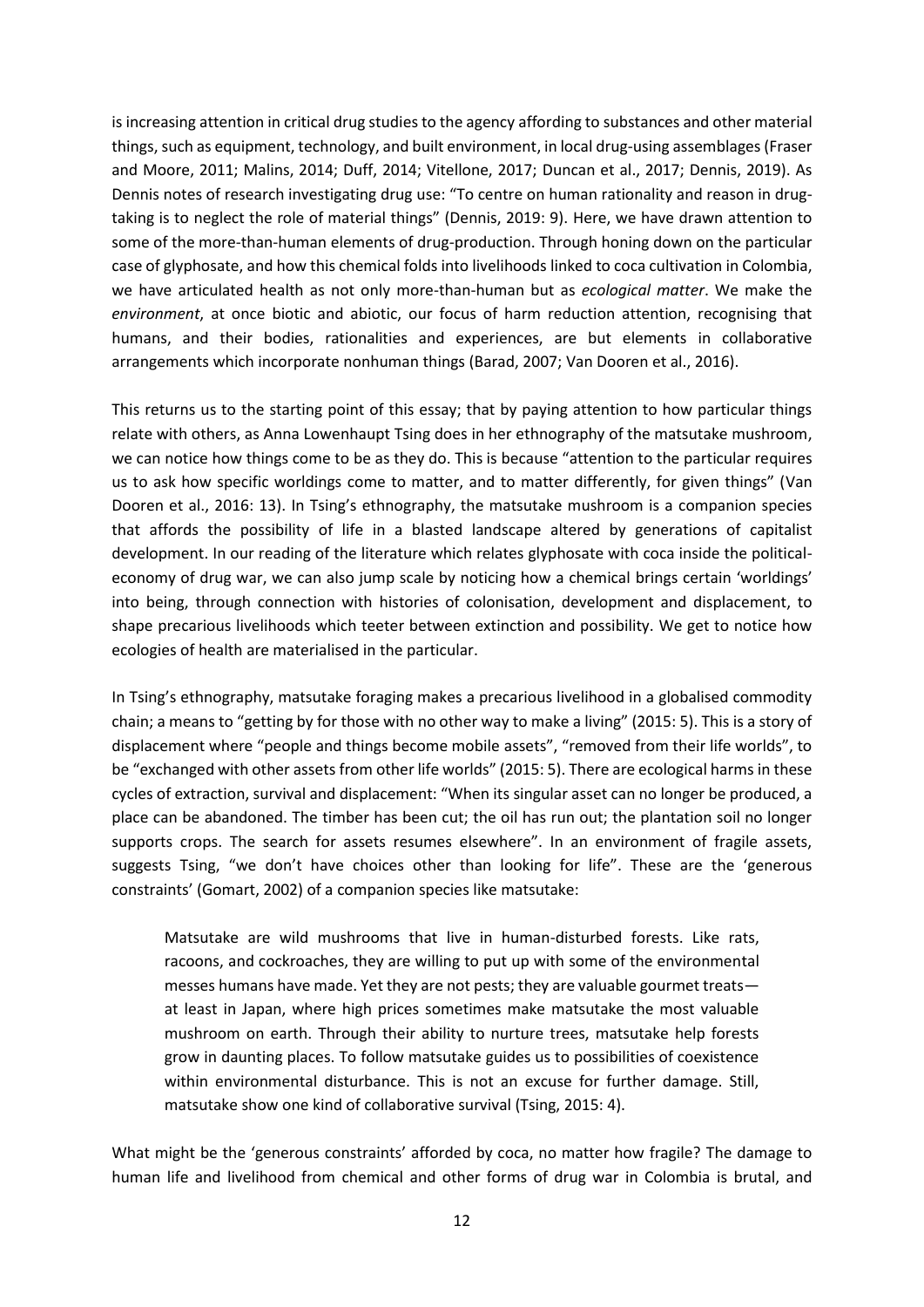is increasing attention in critical drug studies to the agency affording to substances and other material things, such as equipment, technology, and built environment, in local drug-using assemblages(Fraser and Moore, 2011; Malins, 2014; Duff, 2014; Vitellone, 2017; Duncan et al., 2017; Dennis, 2019). As Dennis notes of research investigating drug use: "To centre on human rationality and reason in drugtaking is to neglect the role of material things" (Dennis, 2019: 9). Here, we have drawn attention to some of the more-than-human elements of drug-production. Through honing down on the particular case of glyphosate, and how this chemical folds into livelihoods linked to coca cultivation in Colombia, we have articulated health as not only more-than-human but as *ecological matter*. We make the *environment*, at once biotic and abiotic, our focus of harm reduction attention, recognising that humans, and their bodies, rationalities and experiences, are but elements in collaborative arrangements which incorporate nonhuman things (Barad, 2007; Van Dooren et al., 2016).

This returns us to the starting point of this essay; that by paying attention to how particular things relate with others, as Anna Lowenhaupt Tsing does in her ethnography of the matsutake mushroom, we can notice how things come to be as they do. This is because "attention to the particular requires us to ask how specific worldings come to matter, and to matter differently, for given things" (Van Dooren et al., 2016: 13). In Tsing's ethnography, the matsutake mushroom is a companion species that affords the possibility of life in a blasted landscape altered by generations of capitalist development. In our reading of the literature which relates glyphosate with coca inside the politicaleconomy of drug war, we can also jump scale by noticing how a chemical brings certain 'worldings' into being, through connection with histories of colonisation, development and displacement, to shape precarious livelihoods which teeter between extinction and possibility. We get to notice how ecologies of health are materialised in the particular.

In Tsing's ethnography, matsutake foraging makes a precarious livelihood in a globalised commodity chain; a means to "getting by for those with no other way to make a living" (2015: 5). This is a story of displacement where "people and things become mobile assets", "removed from their life worlds", to be "exchanged with other assets from other life worlds" (2015: 5). There are ecological harms in these cycles of extraction, survival and displacement: "When its singular asset can no longer be produced, a place can be abandoned. The timber has been cut; the oil has run out; the plantation soil no longer supports crops. The search for assets resumes elsewhere". In an environment of fragile assets, suggests Tsing, "we don't have choices other than looking for life". These are the 'generous constraints' (Gomart, 2002) of a companion species like matsutake:

Matsutake are wild mushrooms that live in human-disturbed forests. Like rats, racoons, and cockroaches, they are willing to put up with some of the environmental messes humans have made. Yet they are not pests; they are valuable gourmet treats at least in Japan, where high prices sometimes make matsutake the most valuable mushroom on earth. Through their ability to nurture trees, matsutake help forests grow in daunting places. To follow matsutake guides us to possibilities of coexistence within environmental disturbance. This is not an excuse for further damage. Still, matsutake show one kind of collaborative survival (Tsing, 2015: 4).

What might be the 'generous constraints' afforded by coca, no matter how fragile? The damage to human life and livelihood from chemical and other forms of drug war in Colombia is brutal, and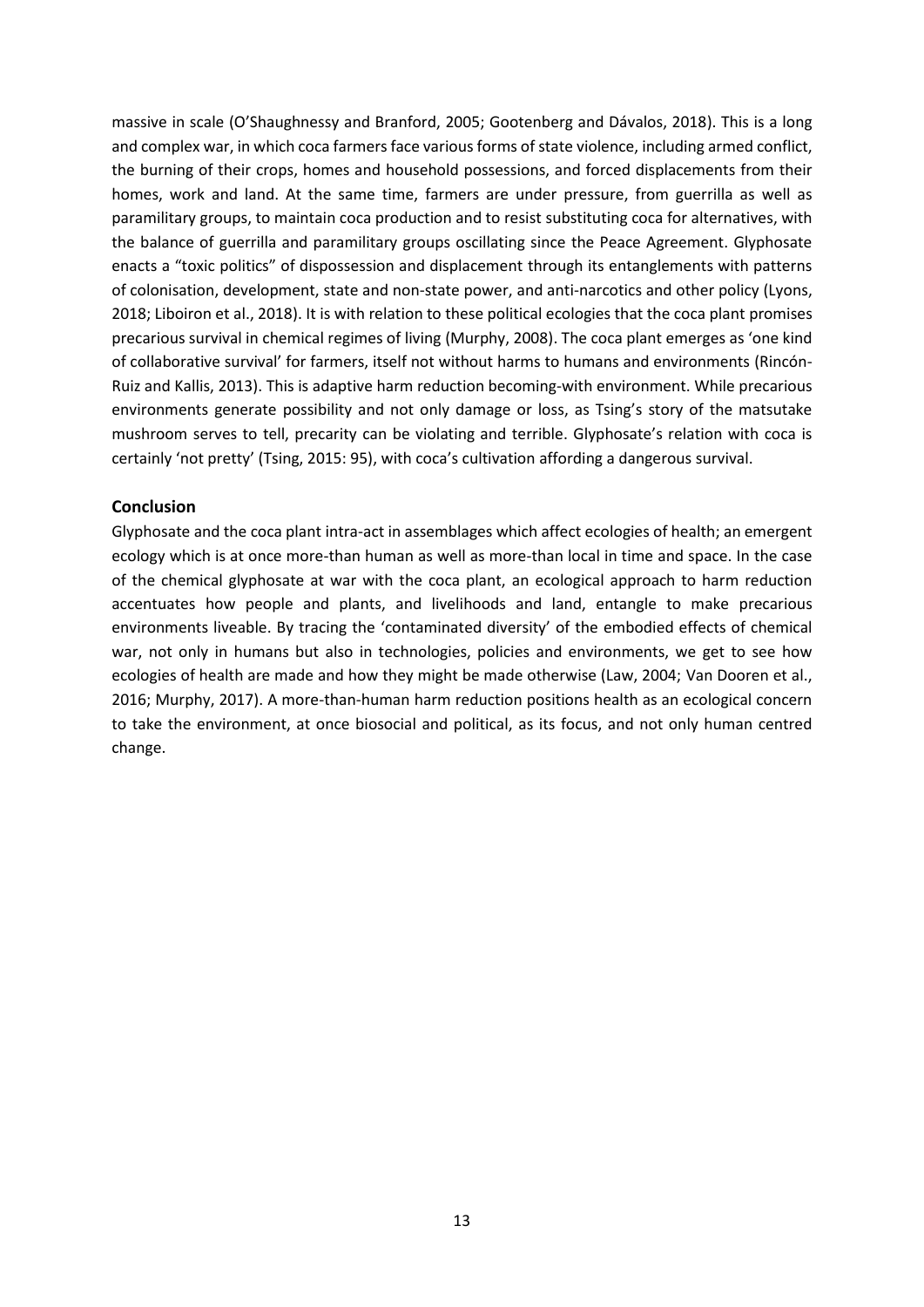massive in scale (O'Shaughnessy and Branford, 2005; Gootenberg and Dávalos, 2018). This is a long and complex war, in which coca farmers face various forms of state violence, including armed conflict, the burning of their crops, homes and household possessions, and forced displacements from their homes, work and land. At the same time, farmers are under pressure, from guerrilla as well as paramilitary groups, to maintain coca production and to resist substituting coca for alternatives, with the balance of guerrilla and paramilitary groups oscillating since the Peace Agreement. Glyphosate enacts a "toxic politics" of dispossession and displacement through its entanglements with patterns of colonisation, development, state and non-state power, and anti-narcotics and other policy (Lyons, 2018; Liboiron et al., 2018). It is with relation to these political ecologies that the coca plant promises precarious survival in chemical regimes of living (Murphy, 2008). The coca plant emerges as 'one kind of collaborative survival' for farmers, itself not without harms to humans and environments (Rincón-Ruiz and Kallis, 2013). This is adaptive harm reduction becoming-with environment. While precarious environments generate possibility and not only damage or loss, as Tsing's story of the matsutake mushroom serves to tell, precarity can be violating and terrible. Glyphosate's relation with coca is certainly 'not pretty' (Tsing, 2015: 95), with coca's cultivation affording a dangerous survival.

#### **Conclusion**

Glyphosate and the coca plant intra-act in assemblages which affect ecologies of health; an emergent ecology which is at once more-than human as well as more-than local in time and space. In the case of the chemical glyphosate at war with the coca plant, an ecological approach to harm reduction accentuates how people and plants, and livelihoods and land, entangle to make precarious environments liveable. By tracing the 'contaminated diversity' of the embodied effects of chemical war, not only in humans but also in technologies, policies and environments, we get to see how ecologies of health are made and how they might be made otherwise (Law, 2004; Van Dooren et al., 2016; Murphy, 2017). A more-than-human harm reduction positions health as an ecological concern to take the environment, at once biosocial and political, as its focus, and not only human centred change.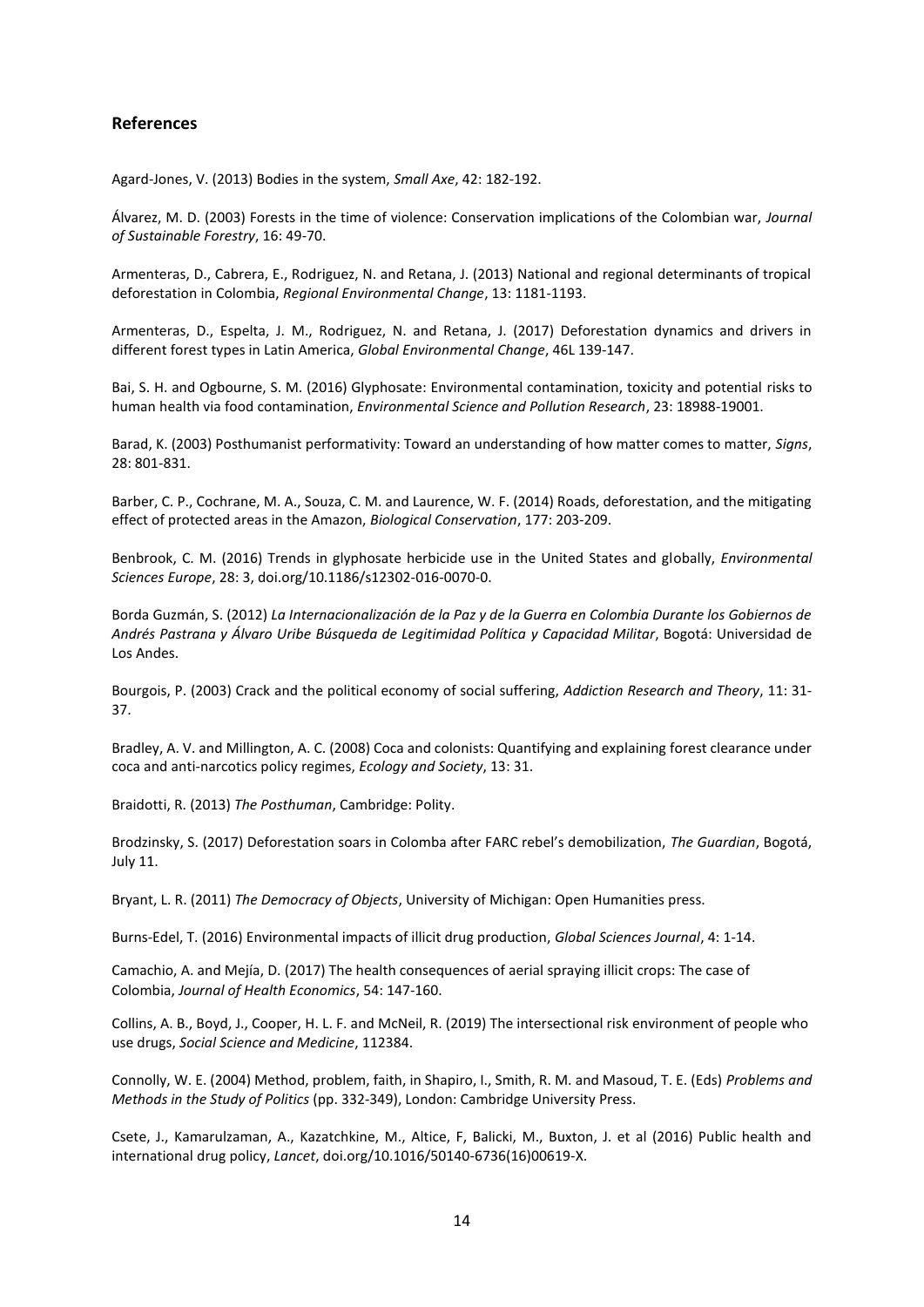### **References**

Agard-Jones, V. (2013) Bodies in the system, *Small Axe*, 42: 182-192.

Álvarez, M. D. (2003) Forests in the time of violence: Conservation implications of the Colombian war, *Journal of Sustainable Forestry*, 16: 49-70.

Armenteras, D., Cabrera, E., Rodriguez, N. and Retana, J. (2013) National and regional determinants of tropical deforestation in Colombia, *Regional Environmental Change*, 13: 1181-1193.

Armenteras, D., Espelta, J. M., Rodriguez, N. and Retana, J. (2017) Deforestation dynamics and drivers in different forest types in Latin America, *Global Environmental Change*, 46L 139-147.

Bai, S. H. and Ogbourne, S. M. (2016) Glyphosate: Environmental contamination, toxicity and potential risks to human health via food contamination, *Environmental Science and Pollution Research*, 23: 18988-19001.

Barad, K. (2003) Posthumanist performativity: Toward an understanding of how matter comes to matter, *Signs*, 28: 801-831.

Barber, C. P., Cochrane, M. A., Souza, C. M. and Laurence, W. F. (2014) Roads, deforestation, and the mitigating effect of protected areas in the Amazon, *Biological Conservation*, 177: 203-209.

Benbrook, C. M. (2016) Trends in glyphosate herbicide use in the United States and globally, *Environmental Sciences Europe*, 28: 3, doi.org/10.1186/s12302-016-0070-0.

Borda Guzmán, S. (2012) *La Internacionalización de la Paz y de la Guerra en Colombia Durante los Gobiernos de Andrés Pastrana y Álvaro Uribe Búsqueda de Legitimidad Política y Capacidad Militar*, Bogotá: Universidad de Los Andes.

Bourgois, P. (2003) Crack and the political economy of social suffering, *Addiction Research and Theory*, 11: 31- 37.

Bradley, A. V. and Millington, A. C. (2008) Coca and colonists: Quantifying and explaining forest clearance under coca and anti-narcotics policy regimes, *Ecology and Society*, 13: 31.

Braidotti, R. (2013) *The Posthuman*, Cambridge: Polity.

Brodzinsky, S. (2017) Deforestation soars in Colomba after FARC rebel's demobilization, *The Guardian*, Bogotá, July 11.

Bryant, L. R. (2011) *The Democracy of Objects*, University of Michigan: Open Humanities press.

Burns-Edel, T. (2016) Environmental impacts of illicit drug production, *Global Sciences Journal*, 4: 1-14.

Camachio, A. and Mejía, D. (2017) The health consequences of aerial spraying illicit crops: The case of Colombia, *Journal of Health Economics*, 54: 147-160.

Collins, A. B., Boyd, J., Cooper, H. L. F. and McNeil, R. (2019) The intersectional risk environment of people who use drugs, *Social Science and Medicine*, 112384.

Connolly, W. E. (2004) Method, problem, faith, in Shapiro, I., Smith, R. M. and Masoud, T. E. (Eds) *Problems and Methods in the Study of Politics* (pp. 332-349), London: Cambridge University Press.

Csete, J., Kamarulzaman, A., Kazatchkine, M., Altice, F, Balicki, M., Buxton, J. et al (2016) Public health and international drug policy, *Lancet*, doi.org/10.1016/50140-6736(16)00619-X.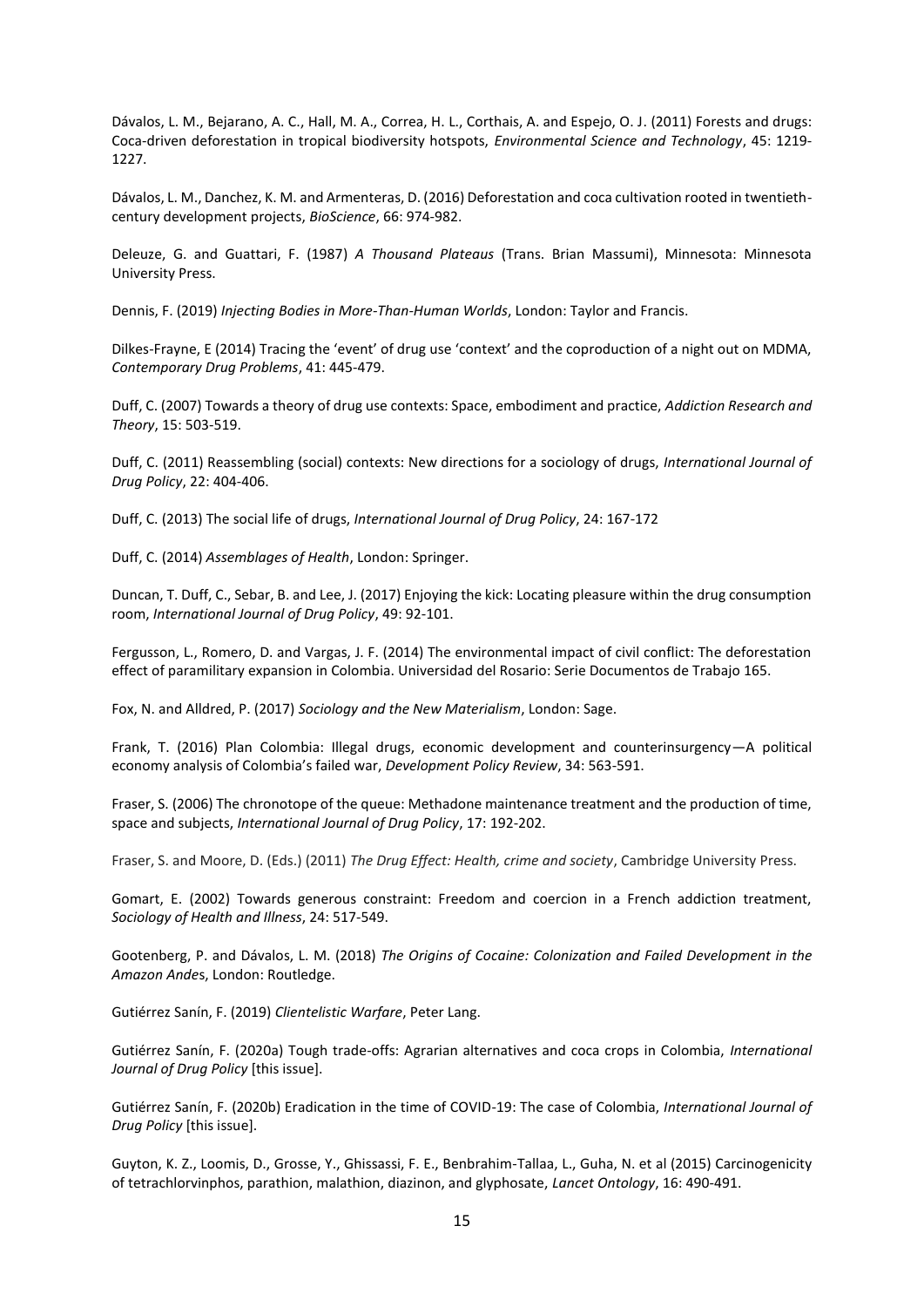Dávalos, L. M., Bejarano, A. C., Hall, M. A., Correa, H. L., Corthais, A. and Espejo, O. J. (2011) Forests and drugs: Coca-driven deforestation in tropical biodiversity hotspots, *Environmental Science and Technology*, 45: 1219- 1227.

Dávalos, L. M., Danchez, K. M. and Armenteras, D. (2016) Deforestation and coca cultivation rooted in twentiethcentury development projects, *BioScience*, 66: 974-982.

Deleuze, G. and Guattari, F. (1987) *A Thousand Plateaus* (Trans. Brian Massumi), Minnesota: Minnesota University Press.

Dennis, F. (2019) *Injecting Bodies in More-Than-Human Worlds*, London: Taylor and Francis.

Dilkes-Frayne, E (2014) Tracing the 'event' of drug use 'context' and the coproduction of a night out on MDMA, *Contemporary Drug Problems*, 41: 445-479.

Duff, C. (2007) Towards a theory of drug use contexts: Space, embodiment and practice, *Addiction Research and Theory*, 15: 503-519.

Duff, C. (2011) Reassembling (social) contexts: New directions for a sociology of drugs, *International Journal of Drug Policy*, 22: 404-406.

Duff, C. (2013) The social life of drugs, *International Journal of Drug Policy*, 24: 167-172

Duff, C. (2014) *Assemblages of Health*, London: Springer.

Duncan, T. Duff, C., Sebar, B. and Lee, J. (2017) Enjoying the kick: Locating pleasure within the drug consumption room, *International Journal of Drug Policy*, 49: 92-101.

Fergusson, L., Romero, D. and Vargas, J. F. (2014) The environmental impact of civil conflict: The deforestation effect of paramilitary expansion in Colombia. Universidad del Rosario: Serie Documentos de Trabajo 165.

Fox, N. and Alldred, P. (2017) *Sociology and the New Materialism*, London: Sage.

Frank, T. (2016) Plan Colombia: Illegal drugs, economic development and counterinsurgency—A political economy analysis of Colombia's failed war, *Development Policy Review*, 34: 563-591.

Fraser, S. (2006) The chronotope of the queue: Methadone maintenance treatment and the production of time, space and subjects, *International Journal of Drug Policy*, 17: 192-202.

Fraser, S. and Moore, D. (Eds.) (2011) *The Drug Effect: Health, crime and society*, Cambridge University Press.

Gomart, E. (2002) Towards generous constraint: Freedom and coercion in a French addiction treatment, *Sociology of Health and Illness*, 24: 517-549.

Gootenberg, P. and Dávalos, L. M. (2018) *The Origins of Cocaine: Colonization and Failed Development in the Amazon Ande*s, London: Routledge.

Gutiérrez Sanín, F. (2019) *Clientelistic Warfare*, Peter Lang.

Gutiérrez Sanín, F. (2020a) Tough trade-offs: Agrarian alternatives and coca crops in Colombia, *International Journal of Drug Policy* [this issue].

Gutiérrez Sanín, F. (2020b) Eradication in the time of COVID-19: The case of Colombia, *International Journal of Drug Policy* [this issue].

Guyton, K. Z., Loomis, D., Grosse, Y., Ghissassi, F. E., Benbrahim-Tallaa, L., Guha, N. et al (2015) Carcinogenicity of tetrachlorvinphos, parathion, malathion, diazinon, and glyphosate, *Lancet Ontology*, 16: 490-491.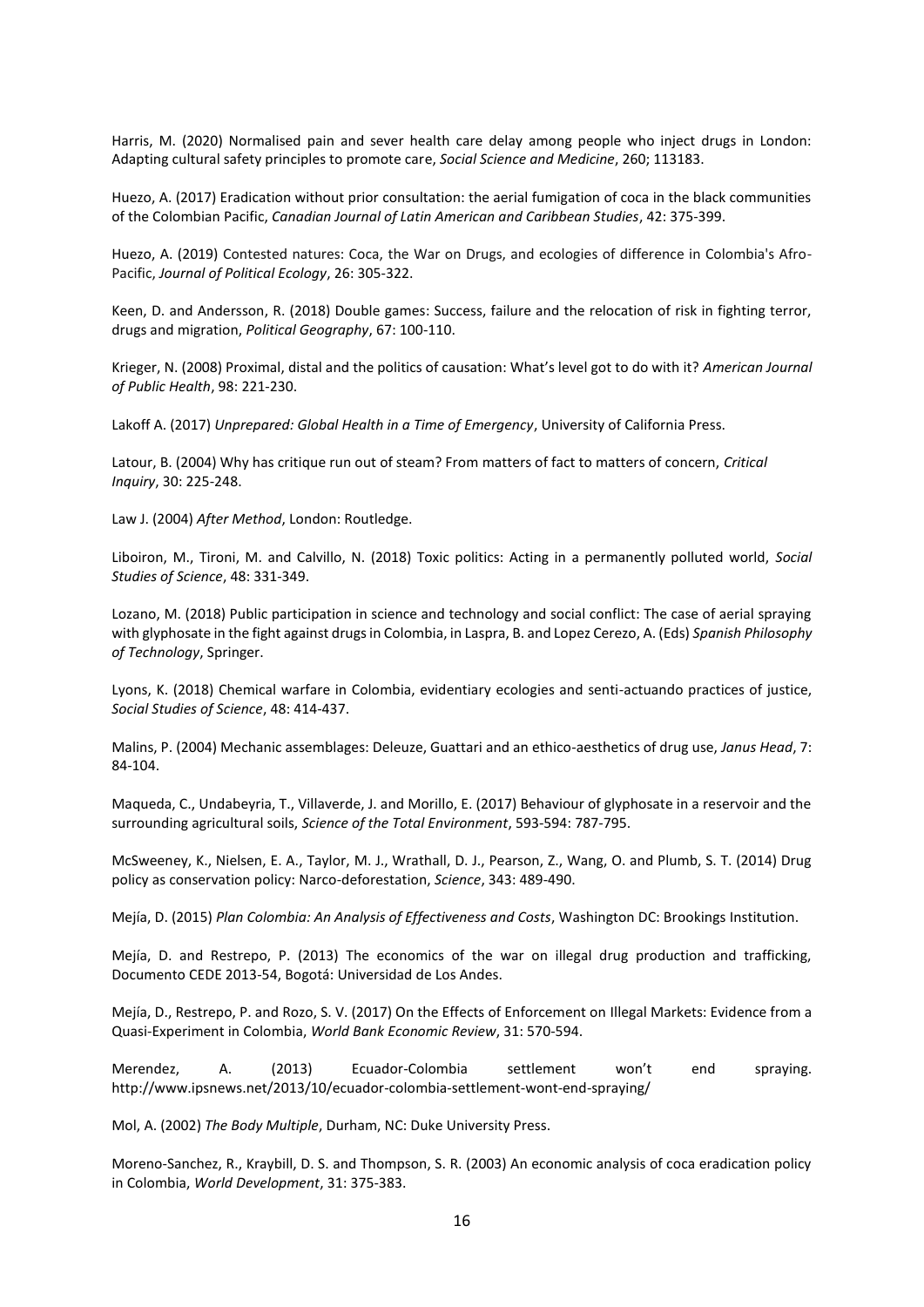Harris, M. (2020) Normalised pain and sever health care delay among people who inject drugs in London: Adapting cultural safety principles to promote care, *Social Science and Medicine*, 260; 113183.

Huezo, A. (2017) Eradication without prior consultation: the aerial fumigation of coca in the black communities of the Colombian Pacific, *Canadian Journal of Latin American and Caribbean Studies*, 42: 375-399.

Huezo, A. (2019) Contested natures: Coca, the War on Drugs, and ecologies of difference in Colombia's Afro-Pacific, *Journal of Political Ecology*, 26: 305-322.

Keen, D. and Andersson, R. (2018) Double games: Success, failure and the relocation of risk in fighting terror, drugs and migration, *Political Geography*, 67: 100-110.

Krieger, N. (2008) Proximal, distal and the politics of causation: What's level got to do with it? *American Journal of Public Health*, 98: 221-230.

Lakoff A. (2017) *Unprepared: Global Health in a Time of Emergency*, University of California Press.

Latour, B. (2004) Why has critique run out of steam? From matters of fact to matters of concern, *Critical Inquiry*, 30: 225-248.

Law J. (2004) *After Method*, London: Routledge.

Liboiron, M., Tironi, M. and Calvillo, N. (2018) Toxic politics: Acting in a permanently polluted world, *Social Studies of Science*, 48: 331-349.

Lozano, M. (2018) Public participation in science and technology and social conflict: The case of aerial spraying with glyphosate in the fight against drugs in Colombia, in Laspra, B. and Lopez Cerezo, A. (Eds) *Spanish Philosophy of Technology*, Springer.

Lyons, K. (2018) Chemical warfare in Colombia, evidentiary ecologies and senti-actuando practices of justice, *Social Studies of Science*, 48: 414-437.

Malins, P. (2004) Mechanic assemblages: Deleuze, Guattari and an ethico-aesthetics of drug use, *Janus Head*, 7: 84-104.

Maqueda, C., Undabeyria, T., Villaverde, J. and Morillo, E. (2017) Behaviour of glyphosate in a reservoir and the surrounding agricultural soils, *Science of the Total Environment*, 593-594: 787-795.

McSweeney, K., Nielsen, E. A., Taylor, M. J., Wrathall, D. J., Pearson, Z., Wang, O. and Plumb, S. T. (2014) Drug policy as conservation policy: Narco-deforestation, *Science*, 343: 489-490.

Mejía, D. (2015) *Plan Colombia: An Analysis of Effectiveness and Costs*, Washington DC: Brookings Institution.

Mejía, D. and Restrepo, P. (2013) The economics of the war on illegal drug production and trafficking, Documento CEDE 2013-54, Bogotá: Universidad de Los Andes.

Mejía, D., Restrepo, P. and Rozo, S. V. (2017) On the Effects of Enforcement on Illegal Markets: Evidence from a Quasi-Experiment in Colombia, *World Bank Economic Review*, 31: 570-594.

Merendez, A. (2013) Ecuador-Colombia settlement won't end spraying. http://www.ipsnews.net/2013/10/ecuador-colombia-settlement-wont-end-spraying/

Mol, A. (2002) *The Body Multiple*, Durham, NC: Duke University Press.

Moreno-Sanchez, R., Kraybill, D. S. and Thompson, S. R. (2003) An economic analysis of coca eradication policy in Colombia, *World Development*, 31: 375-383.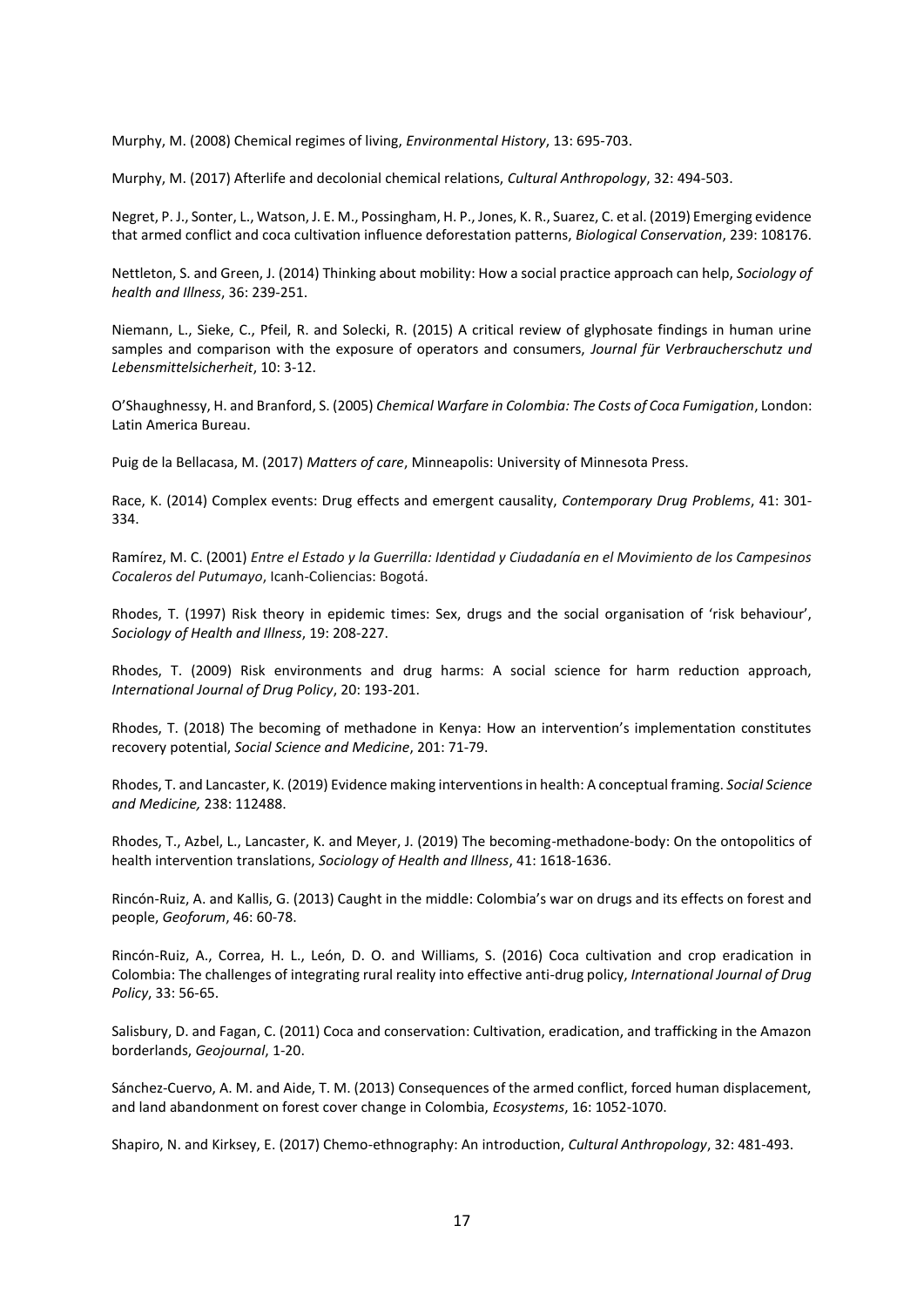Murphy, M. (2008) Chemical regimes of living, *Environmental History*, 13: 695-703.

Murphy, M. (2017) Afterlife and decolonial chemical relations, *Cultural Anthropology*, 32: 494-503.

Negret, P. J., Sonter, L., Watson, J. E. M., Possingham, H. P., Jones, K. R., Suarez, C. et al. (2019) Emerging evidence that armed conflict and coca cultivation influence deforestation patterns, *Biological Conservation*, 239: 108176.

Nettleton, S. and Green, J. (2014) Thinking about mobility: How a social practice approach can help, *Sociology of health and Illness*, 36: 239-251.

Niemann, L., Sieke, C., Pfeil, R. and Solecki, R. (2015) A critical review of glyphosate findings in human urine samples and comparison with the exposure of operators and consumers, *[Journal für Verbraucherschutz und](https://www.researchgate.net/journal/1661-5751_Journal_fuer_Verbraucherschutz_und_Lebensmittelsicherheit)  [Lebensmittelsicherheit](https://www.researchgate.net/journal/1661-5751_Journal_fuer_Verbraucherschutz_und_Lebensmittelsicherheit)*, 10: 3-12.

O'Shaughnessy, H. and Branford, S. (2005) *Chemical Warfare in Colombia: The Costs of Coca Fumigation*, London: Latin America Bureau.

Puig de la Bellacasa, M. (2017) *Matters of care*, Minneapolis: University of Minnesota Press.

Race, K. (2014) Complex events: Drug effects and emergent causality, *Contemporary Drug Problems*, 41: 301- 334.

Ramírez, M. C. (2001) *Entre el Estado y la Guerrilla: Identidad y Ciudadanía en el Movimiento de los Campesinos Cocaleros del Putumayo*, Icanh-Coliencias: Bogotá.

Rhodes, T. (1997) Risk theory in epidemic times: Sex, drugs and the social organisation of 'risk behaviour', *Sociology of Health and Illness*, 19: 208-227.

Rhodes, T. (2009) Risk environments and drug harms: A social science for harm reduction approach, *International Journal of Drug Policy*, 20: 193-201.

Rhodes, T. (2018) The becoming of methadone in Kenya: How an intervention's implementation constitutes recovery potential, *Social Science and Medicine*, 201: 71-79.

Rhodes, T. and Lancaster, K. (2019) Evidence making interventions in health: A conceptual framing. *Social Science and Medicine,* 238: 112488.

Rhodes, T., Azbel, L., Lancaster, K. and Meyer, J. (2019) The becoming-methadone-body: On the ontopolitics of health intervention translations, *Sociology of Health and Illness*, 41: 1618-1636.

Rincón-Ruiz, A. and Kallis, G. (2013) Caught in the middle: Colombia's war on drugs and its effects on forest and people, *Geoforum*, 46: 60-78.

Rincón-Ruiz, A., Correa, H. L., León, D. O. and Williams, S. (2016) Coca cultivation and crop eradication in Colombia: The challenges of integrating rural reality into effective anti-drug policy, *International Journal of Drug Policy*, 33: 56-65.

Salisbury, D. and Fagan, C. (2011) Coca and conservation: Cultivation, eradication, and trafficking in the Amazon borderlands, *Geojournal*, 1-20.

Sánchez-Cuervo, A. M. and Aide, T. M. (2013) Consequences of the armed conflict, forced human displacement, and land abandonment on forest cover change in Colombia, *Ecosystems*, 16: 1052-1070.

Shapiro, N. and Kirksey, E. (2017) Chemo-ethnography: An introduction, *Cultural Anthropology*, 32: 481-493.